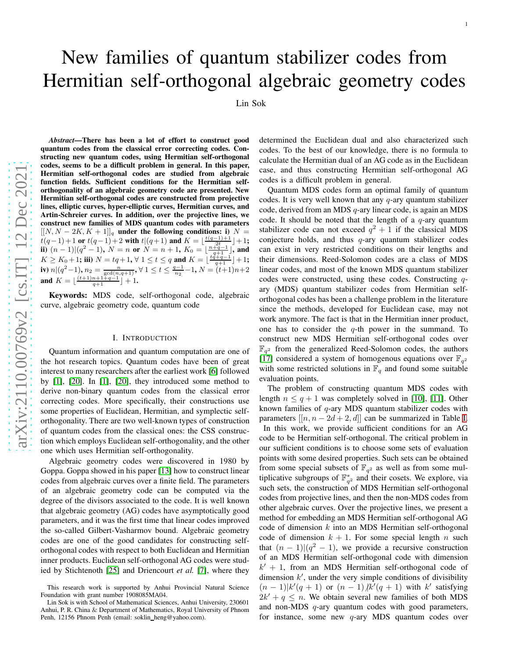# New families of quantum stabilizer codes from Hermitian self-orthogonal algebraic geometry codes

Lin Sok

*Abstract*—There has been a lot of effort to construct good quantum codes from the classical error correcting codes. Constructing new quantum codes, using Hermitian self-orthogonal codes, seems to be a difficult problem in general. In this paper, Hermitian self-orthogonal codes are studied from algebrai c function fields. Sufficient conditions for the Hermitian selforthogonality of an algebraic geometry code are presented. New Hermitian self-orthogonal codes are constructed from projective lines, elliptic curves, hyper-elliptic curves, Hermitian curves, and Artin-Schreier curves. In addition, over the projective lines, we construct new families of MDS quantum codes with parameters  $[[N, N-2K, K+1]]_q$  under the following conditions: i)  $N=$  $t(q-1)+1$  or  $t(q-1)+2$  with  $t|(q+1)$  and  $K = \lfloor \frac{t(q-1)+1}{2t} \rfloor +1$ ; ii)  $(n-1)|(q^2-1), N = n$  or  $N = n + 1, K_0 = \lfloor \frac{2t-1}{q+1} \rfloor$ , and  $K \geq K_0 + 1$ ; iii)  $N = tq + 1$ ,  $\forall$   $1 \leq t \leq q$  and  $K = \lfloor \frac{tq+q-1}{q+1} \rfloor + 1$ ; iv)  $n|(q^2-1), n_2 = \frac{n}{\gcd(n,q+1)}, \forall 1 \le t \le \frac{q-1}{n_2}-1, N=(t+1)n+2$ and  $K = \lfloor \frac{(t+1)n+1+q-1}{q+1} \rfloor + 1$ .

Keywords: MDS code, self-orthogonal code, algebraic curve, algebraic geometry code, quantum code

## I. INTRODUCTION

Quantum information and quantum computation are one of the hot research topics. Quantum codes have been of great interest to many researchers after the earliest work [6] followed by [1], [20]. In [1], [20], they introduced some method to derive non-binary quantum codes from the classical error correcting codes. More specifically, their constructions use some properties of Euclidean, Hermitian, and symplectic selforthogonality. There are two well-known types of construction of quantum codes from the classical ones: the CSS construction which employs Euclidean self-orthogonality, and the other one which uses Hermitian self-orthogonality.

Algebraic geometry codes were discovered in 1980 by Goppa. Goppa showed in his paper [\[13\]](#page-12-0) how to construct linear codes from algebraic curves over a finite field. The parameter s of an algebraic geometry code can be computed via the degree of the divisors associated to the code. It is well know n that algebraic geometry (AG) codes have asymptotically goo d parameters, and it was the first time that linear codes improved the so-called Gilbert-Vasharmov bound. Algebraic geometr y codes are one of the good candidates for constructing selforthogonal codes with respect to both Euclidean and Hermitian inner products. Euclidean self-orthogonal AG codes were studied by Stichtenoth [\[25\]](#page-12-1) and Driencourt *et al.* [\[7\]](#page-12-2), where they

determined the Euclidean dual and also characterized such codes. To the best of our knowledge, there is no formula to calculate the Hermitian dual of an AG code as in the Euclidean case, and thus constructing Hermitian self-orthogonal AG codes is a difficult problem in general.

Quantum MDS codes form an optimal family of quantum codes. It is very well known that any  $q$ -ary quantum stabilizer code, derived from an MDS q-ary linear code, is again an MDS code. It should be noted that the length of a  $q$ -ary quantum stabilizer code can not exceed  $q^2 + 1$  if the classical MDS conjecture holds, and thus  $q$ -ary quantum stabilizer codes can exist in very restricted conditions on their lengths and their dimensions. Reed-Solomon codes are a class of MDS linear codes, and most of the known MDS quantum stabilizer codes were constructed, using these codes. Constructing qary (MDS) quantum stabilizer codes from Hermitian selforthogonal codes has been a challenge problem in the literature since the methods, developed for Euclidean case, may not work anymore. The fact is that in the Hermitian inner product , one has to consider the  $q$ -th power in the summand. To construct new MDS Hermitian self-orthogonal codes over  $\mathbb{F}_{q^2}$  from the generalized Reed-Solomon codes, the authors [\[17\]](#page-12-3) considered a system of homogenous equations over  $\mathbb{F}_{q^2}$ with some restricted solutions in  $\mathbb{F}_q$  and found some suitable evaluation points.

The problem of constructing quantum MDS codes with length  $n \leq q+1$  was completely solved in [\[10\]](#page-12-4), [11]. Other known families of q-ary MDS quantum stabilizer codes with parameters  $[[n, n-2d+2, d]]$  can be summarized in Table [I.](#page-1-0) In this work, we provide sufficient conditions for an AG code to be Hermitian self-orthogonal. The critical problem in our sufficient conditions is to choose some sets of evaluatio n points with some desired properties. Such sets can be obtained from some special subsets of  $\mathbb{F}_{q^2}$  as well as from some multiplicative subgroups of  $\mathbb{F}_{q^2}^*$  and their cosets. We explore, via such sets, the construction of MDS Hermitian self-orthogonal codes from projective lines, and then the non-MDS codes from other algebraic curves. Over the projective lines, we present a method for embedding an MDS Hermitian self-orthogonal AG code of dimension k into an MDS Hermitian self-orthogonal code of dimension  $k + 1$ . For some special length n such that  $(n-1)|(q^2-1)$ , we provide a recursive construction of an MDS Hermitian self-orthogonal code with dimension  $k' + 1$ , from an MDS Hermitian self-orthogonal code of dimension  $k'$ , under the very simple conditions of divisibility  $(n-1)|k'(q+1)$  or  $(n-1)/k'(q+1)$  with k' satisfying  $2k' + q \leq n$ . We obtain several new families of both MDS and non-MDS q-ary quantum codes with good parameters, for instance, some new q-ary MDS quantum codes over

This research work is supported by Anhui Provincial Natural Science Foundation with grant number 1908085MA04.

Lin Sok is with School of Mathematical Sciences, Anhui University, 230601 Anhui, P. R. China & Department of Mathematics, Royal University of Phnom Penh, 12156 Phnom Penh (email: soklin\_heng@yahoo.com).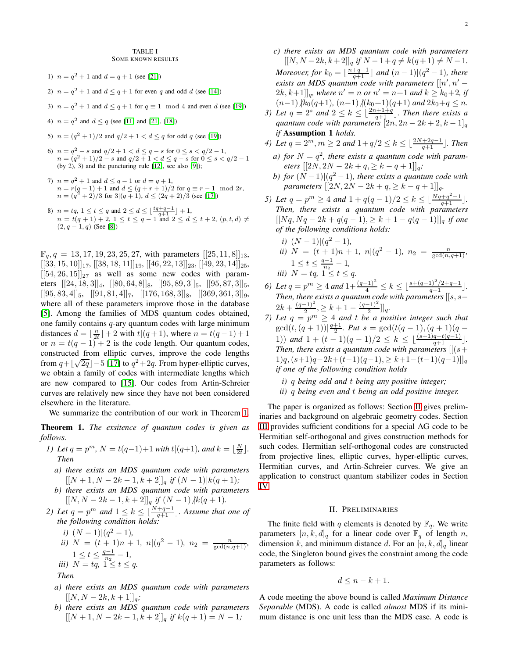- <span id="page-1-0"></span>1)  $n = q^2 + 1$  and  $d = q + 1$  (see [21])
- 2)  $n = q^2 + 1$  and  $d \leq q + 1$  for even q and odd d (see [\[14\]](#page-12-5))
- 3)  $n = q^2 + 1$  and  $d \le q + 1$  for  $q \equiv 1 \mod 4$  and even d (see [\[19\]](#page-12-6))
- 4)  $n = q^2$  and  $d \le q$  (see [11] and [21], [\[18\]](#page-12-7))
- 5)  $n = (q^2 + 1)/2$  and  $q/2 + 1 < d \le q$  for odd q (see [\[19\]](#page-12-6))
- 6)  $n = q^2 s$  and  $q/2 + 1 < d \le q s$  for  $0 \le s < q/2 1$ ,  $n = (q^2 + 1)/2 - s$  and  $q/2 + 1 < d \le q - s$  for  $0 \le s < q/2 - 1$ (by  $2$ ),  $3$ ) and the puncturing rule  $[12]$ , see also  $[9]$ );
- 7)  $n = q^2 + 1$  and  $d \leq q 1$  or  $d = q + 1$ ,  $n = r(q-1) + 1$  and  $d \leq (q + r + 1)/2$  for  $q \equiv r - 1 \mod 2r$ ,  $n = (q^2 + 2)/3$  for  $3|(q + 1), d \leq (2q + 2)/3$  (see [\[17\]](#page-12-3))
- 8)  $n = tq, 1 \le t \le q$  and  $2 \le d \le \lfloor \frac{tq+q-1}{q+1} \rfloor + 1$ ,<br>  $n = t(q+1) + 2, 1 \le t \le q-1$  and  $2 \le d \le t+2$ ,  $(p, t, d) \ne$  $(2, q-1, q)$  (See [\[8\]](#page-12-10))

 $\mathbb{F}_q$ ,  $q = 13, 17, 19, 23, 25, 27$ , with parameters  $[[25, 11, 8]]_{13}$ ,  $[[33, 15, 10]]_{17}$ ,  $[[38, 18, 11]]_{19}$ ,  $[[46, 22, 13]]_{23}$ ,  $[[49, 23, 14]]_{25}$ ,  $[[54, 26, 15]]_{27}$  as well as some new codes with parameters  $[[24, 18, 3]]_4$ ,  $[[80, 64, 8]]_8$ ,  $[[95, 89, 3]]_5$ ,  $[[95, 87, 3]]_5$  $[[95, 83, 4]]_5$ ,  $[[91, 81, 4]]_7$ ,  $[[176, 168, 3]]_8$ ,  $[[369, 361, 3]]_9$ , where all of these parameters improve those in the database [\[5\]](#page-11-0). Among the families of MDS quantum codes obtained, one family contains  $q$ -ary quantum codes with large minimum distances  $d = \lfloor \frac{n}{2t} \rfloor + 2$  with  $t|(q+1)$ , where  $n = t(q-1)+1$ or  $n = t(q - 1) + 2$  is the code length. Our quantum codes, constructed from elliptic curves, improve the code lengths from  $q + \lfloor \sqrt{2q} \rfloor - 5$  [\[17\]](#page-12-3) to  $q^2 + 2q$ . From hyper-elliptic curves, we obtain a family of codes with intermediate lengths which are new compared to [\[15\]](#page-12-11). Our codes from Artin-Schreier curves are relatively new since they have not been considered elsewhere in the literature.

We summarize the contribution of our work in Theorem [1.](#page-1-1)

<span id="page-1-1"></span>Theorem 1. *The exsitence of quantum codes is given as follows.*

- *1)* Let  $q = p^m$ ,  $N = t(q-1)+1$  with  $t|(q+1)$ , and  $k = \lfloor \frac{N}{2t} \rfloor$ . *Then*
	- *a) there exists an MDS quantum code with parameters*  $[[N+1, N-2k-1, k+2]]_q$  *if*  $(N-1)$ | $k(q+1)$ *;*
	- *b) there exists an MDS quantum code with parameters*  $[[N, N - 2k - 1, k + 2]]_q$  *if*  $(N - 1)$  /k(q + 1)*.*
- 2) Let  $q = p^m$  and  $1 \leq k \leq \lfloor \frac{N+q-1}{q+1} \rfloor$ . Assume that one of *the following condition holds:*

*i)* 
$$
(N-1)|(q^2-1)
$$
,  
\n*ii)*  $N = (t + 1)n + 1$ ,  $n|(q^2 - 1)$ ,  $n_2 = \frac{n}{\gcd(n, q+1)}$ ,  
\n $1 \le t \le \frac{q-1}{n_2} - 1$ ,  
\n*iii)*  $N = tq$ ,  $1 \le t \le q$ .  
\n*Then*

- *a) there exists an MDS quantum code with parameters*  $[[N, N-2k, k+1]]_q;$
- *b) there exists an MDS quantum code with parameters*  $[[N+1, N-2k-1, k+2]]_q$  if  $k(q+1) = N-1$ ;
- *c) there exists an MDS quantum code with parameters*  $\lbrack\lbrack N, N-2k, k+2\rbrack\rbrack_q\text{ if }N-1+q\neq k(q+1)\neq N-1.$ *Moreover, for*  $k_0 = \lfloor \frac{n+q-1}{q+1} \rfloor$  and  $(n-1)|(q^2-1)$ *, there*  $\alpha$  *exists an MDS quantum code with parameters*  $[[n', n' (2k, k+1]$ ]<sub>q</sub>, where  $n' = n$  or  $n' = n+1$  and  $k \ge k_0+2$ , if  $(n-1)$  |k<sub>0</sub>(q+1),  $(n-1)$  |(k<sub>0</sub>+1)(q+1) and  $2k_0+q \leq n$ .
- *3)* Let  $q = 2^s$  and  $2 \leq k \leq \lfloor \frac{2n+1+q}{q+1} \rfloor$ . Then there exists a *quantum code with parameters*  $[2n, 2n - 2k + 2, k - 1]_q$ *if* Assumption 1 *holds.*
- *4)* Let  $q = 2^m, m \ge 2$  and  $1 + q/2 \le k \le \lfloor \frac{2N+2q-1}{q+1} \rfloor$ . Then *a*) for  $N = q^2$ , there exists a quantum code with param*eters*  $[[2N, 2N - 2k + q, \geq k - q + 1]]q$ ;
- *b)* for  $(N-1)\left|\frac{q^2-1}{r^2}\right|$ , there exists a quantum code with *parameters*  $[[2N, 2N - 2k + q, \geq k - q + 1]]_q$ .
- *5)* Let  $q = p^m \ge 4$  and  $1 + q(q-1)/2 \le k \le \lfloor \frac{Nq+q^2-1}{q+1} \rfloor$ . *Then, there exists a quantum code with parameters*  $[[Nq, Nq - 2k + q(q - 1), \geq k + 1 - q(q - 1)]]_q$  *if one of the following conditions holds:*
	- *i*)  $(N-1)|(q^2-1)$ , *ii*)  $N = (t + 1)n + 1$ ,  $n|(q^2 - 1)$ ,  $n_2 = \frac{n}{gcd(n,q+1)}$ ,  $1 \leq t \leq \frac{q-1}{n_2}$  $\frac{l-1}{n_2}-1,$ *iii*)  $N = tq, 1 \le t \le q.$
- *6)* Let  $q = p^m \geq 4$  and  $1 + \frac{(q-1)^2}{4} \leq k \leq \lfloor \frac{s + (q-1)^2/2 + q 1}{q+1} \rfloor$ . *Then, there exists a quantum code with parameters* [[s, s−  $2k + \frac{(q-1)^2}{2}$  $\frac{(-1)^2}{2}$ ,  $\geq k+1-\frac{(q-1)^2}{2}$  $\frac{-1}{2}$ ]<sub>q</sub>.
- *7)* Let  $q = p^m \geq 4$  and t be a positive integer such that  $gcd(t, (q + 1)) | \frac{q+1}{2}$ *. Put*  $s = gcd(t(q - 1), (q + 1)(q - 1))$ 1)) *and*  $1 + (t - 1)(q - 1)/2 \le k \le \lfloor \frac{(s+1)q + t(q-1)}{q+1} \rfloor$ . *Then, there exists a quantum code with parameters*  $\frac{f}{s}$  $1)q,(s+1)q-2k+(t-1)(q-1), \geq k+1-(t-1)(q-1)$ *if one of the following condition holds*
	- *i)* q *being odd and* t *being any positive integer; ii)* q *being even and* t *being an odd positive integer.*

The paper is organized as follows: Section [II](#page-1-2) gives preliminaries and background on algebraic geometry codes. Section [III](#page-3-0) provides sufficient conditions for a special AG code to be Hermitian self-orthogonal and gives construction methods for such codes. Hermitian self-orthogonal codes are constructed from projective lines, elliptic curves, hyper-elliptic curves, Hermitian curves, and Artin-Schreier curves. We give an application to construct quantum stabilizer codes in Section [IV.](#page-9-0)

#### II. PRELIMINARIES

<span id="page-1-2"></span>The finite field with q elements is denoted by  $\mathbb{F}_q$ . We write parameters  $[n, k, d]_q$  for a linear code over  $\mathbb{F}_q$  of length n, dimension k, and minimum distance d. For an  $[n, k, d]_q$  linear code, the Singleton bound gives the constraint among the code parameters as follows:

$$
d \leq n - k + 1.
$$

A code meeting the above bound is called *Maximum Distance Separable* (MDS). A code is called *almost* MDS if its minimum distance is one unit less than the MDS case. A code is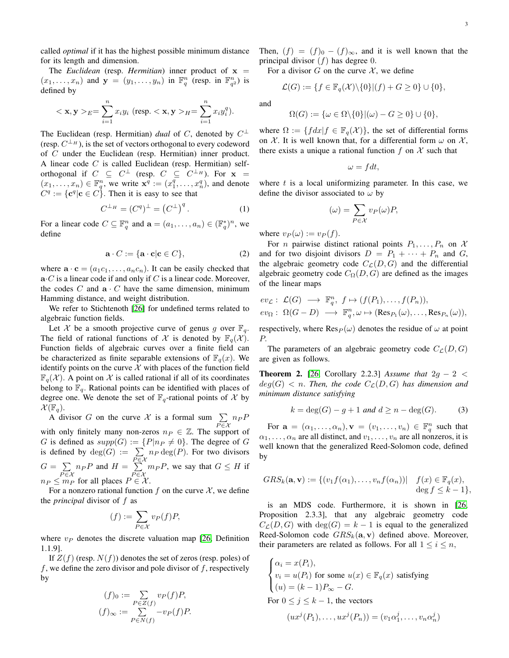called *optimal* if it has the highest possible minimum distance for its length and dimension.

The *Euclidean* (resp. *Hermitian*) inner product of  $x =$  $(x_1, \ldots, x_n)$  and  $\mathbf{y} = (y_1, \ldots, y_n)$  in  $\mathbb{F}_q^n$  (resp. in  $\mathbb{F}_{q^2}^n$ ) is defined by

$$
<\mathbf{x}, \mathbf{y} >_E = \sum_{i=1}^n x_i y_i \text{ (resp. } <\mathbf{x}, \mathbf{y} >_H = \sum_{i=1}^n x_i y_i^q).
$$

The Euclidean (resp. Hermitian) *dual* of C, denoted by  $C^{\perp}$ (resp.  $C^{\perp_H}$ ), is the set of vectors orthogonal to every codeword of C under the Euclidean (resp. Hermitian) inner product. A linear code  $C$  is called Euclidean (resp. Hermitian) selforthogonal if  $C \subseteq C^{\perp}$  (resp.  $C \subseteq C^{\perp_H}$ ). For  $\mathbf{x} =$  $(x_1, \ldots, x_n) \in \mathbb{F}_q^n$ , we write  $\mathbf{x}^q := (x_1^q, \ldots, x_n^q)$ , and denote  $C^q := \{ \mathbf{c}^q | \mathbf{c} \in C \}.$  Then it is easy to see that

<span id="page-2-0"></span>
$$
C^{\perp_H} = (C^q)^{\perp} = (C^{\perp})^q. \tag{1}
$$

For a linear code  $C \subseteq \mathbb{F}_q^n$  and  $\mathbf{a} = (a_1, \dots, a_n) \in (\mathbb{F}_q^*)^n$ , we define

<span id="page-2-1"></span>
$$
\mathbf{a} \cdot C := \{ \mathbf{a} \cdot \mathbf{c} | \mathbf{c} \in C \},\tag{2}
$$

where  $\mathbf{a} \cdot \mathbf{c} = (a_1c_1, \dots, a_nc_n)$ . It can be easily checked that  $\mathbf{a} \cdot C$  is a linear code if and only if C is a linear code. Moreover, the codes  $C$  and  $\mathbf{a} \cdot C$  have the same dimension, minimum Hamming distance, and weight distribution.

We refer to Stichtenoth [\[26\]](#page-12-12) for undefined terms related to algebraic function fields.

Let X be a smooth projective curve of genus g over  $\mathbb{F}_q$ . The field of rational functions of X is denoted by  $\mathbb{F}_q(\mathcal{X})$ . Function fields of algebraic curves over a finite field can be characterized as finite separable extensions of  $\mathbb{F}_q(x)$ . We identify points on the curve  $\mathcal X$  with places of the function field  $\mathbb{F}_q(\mathcal{X})$ . A point on X is called rational if all of its coordinates belong to  $\mathbb{F}_q$ . Rational points can be identified with places of degree one. We denote the set of  $\mathbb{F}_q$ -rational points of X by  $\mathcal{X}(\mathbb{F}_q)$ .

A divisor G on the curve X is a formal sum  $\sum_{P \in \mathcal{X}} n_P P$ with only finitely many non-zeros  $n_P \in \mathbb{Z}$ . The support of G is defined as  $supp(G) := {P|n_P \neq 0}$ . The degree of G G is defined as  $supp(G) := \{P|n_P \neq 0\}$ . The degree of G is defined by  $deg(G) := \sum$  $\sum_{P \in \mathcal{X}} n_P \deg(P)$ . For two divisors  $G = \sum$  $\sum_{P \in \mathcal{X}} n_P P$  and  $H = \sum_{P \in \mathcal{Z}}$  $\sum_{P \in \mathcal{X}} m_P P$ , we say that  $G \leq H$  if  $n_P \leq m_P$  for all places  $P \in \mathcal{X}$ .

For a nonzero rational function f on the curve  $\mathcal{X}$ , we define the *principal* divisor of f as

$$
(f) := \sum_{P \in \mathcal{X}} v_P(f) P,
$$

where  $v_P$  denotes the discrete valuation map [\[26,](#page-12-12) Definition 1.1.9].

If  $Z(f)$  (resp.  $N(f)$ ) denotes the set of zeros (resp. poles) of f, we define the zero divisor and pole divisor of  $f$ , respectively by

$$
(f)_0 := \sum_{P \in Z(f)} v_P(f)P,
$$
  

$$
(f)_{\infty} := \sum_{P \in N(f)} -v_P(f)P.
$$

Then,  $(f) = (f)_{0} - (f)_{\infty}$ , and it is well known that the principal divisor  $(f)$  has degree 0.

For a divisor G on the curve  $X$ , we define

$$
\mathcal{L}(G) := \{ f \in \mathbb{F}_q(\mathcal{X}) \setminus \{0\} | (f) + G \ge 0 \} \cup \{0\},\
$$

and

$$
\Omega(G) := \{ \omega \in \Omega \setminus \{0\} | (\omega) - G \ge 0 \} \cup \{0\},
$$

where  $\Omega := \{ f dx | f \in \mathbb{F}_q(\mathcal{X}) \}$ , the set of differential forms on X. It is well known that, for a differential form  $\omega$  on X, there exists a unique a rational function f on X such that

$$
\omega = f dt,
$$

where  $t$  is a local uniformizing parameter. In this case, we define the divisor associated to  $\omega$  by

$$
(\omega) = \sum_{P \in \mathcal{X}} v_P(\omega) P,
$$

where  $v_P(\omega) := v_P(f)$ .

For *n* pairwise distinct rational points  $P_1, \ldots, P_n$  on X and for two disjoint divisors  $D = P_1 + \cdots + P_n$  and G, the algebraic geometry code  $C_{\mathcal{L}}(D, G)$  and the differential algebraic geometry code  $C_{\Omega}(D, G)$  are defined as the images of the linear maps

$$
ev_{\mathcal{L}}: \mathcal{L}(G) \longrightarrow \mathbb{F}_q^n, f \mapsto (f(P_1), \dots, f(P_n)),
$$
  

$$
ev_{\Omega}: \Omega(G-D) \longrightarrow \mathbb{F}_q^n, \omega \mapsto (\text{Res}_{P_1}(\omega), \dots, \text{Res}_{P_n}(\omega)),
$$

respectively, where  $\text{Res}_P(\omega)$  denotes the residue of  $\omega$  at point P.

The parameters of an algebraic geometry code  $C_{\mathcal{L}}(D, G)$ are given as follows.

**Theorem 2.** [\[26,](#page-12-12) Corollary 2.2.3] *Assume that*  $2g - 2 <$  $deg(G)$  < *n.* Then, the code  $C_{\mathcal{L}}(D, G)$  has dimension and *minimum distance satisfying*

$$
k = \deg(G) - g + 1 \text{ and } d \ge n - \deg(G). \tag{3}
$$

For  $\mathbf{a} = (\alpha_1, \dots, \alpha_n), \mathbf{v} = (v_1, \dots, v_n) \in \mathbb{F}_q^n$  such that  $\alpha_1, \ldots, \alpha_n$  are all distinct, and  $v_1, \ldots, v_n$  are all nonzeros, it is well known that the generalized Reed-Solomon code, defined by

$$
GRS_k(\mathbf{a}, \mathbf{v}) := \{ (v_1 f(\alpha_1), \dots, v_n f(\alpha_n)) | \quad f(x) \in \mathbb{F}_q(x),
$$
  
deg  $f \leq k - 1 \},$ 

is an MDS code. Furthermore, it is shown in [\[26,](#page-12-12) Proposition 2.3.3], that any algebraic geometry code  $C_{\mathcal{L}}(D, G)$  with  $deg(G) = k - 1$  is equal to the generalized Reed-Solomon code  $GRS_k(\mathbf{a}, \mathbf{v})$  defined above. Moreover, their parameters are related as follows. For all  $1 \le i \le n$ ,

$$
\begin{cases}\n\alpha_i = x(P_i), \\
v_i = u(P_i) \text{ for some } u(x) \in \mathbb{F}_q(x) \text{ satisfying} \\
(u) = (k-1)P_{\infty} - G.\n\end{cases}
$$
\nFor  $0 \le j \le k - 1$ , the vectors\n
$$
(ux^j(P_1), \dots, ux^j(P_n)) = (v_1 \alpha_1^j, \dots, v_n \alpha_n^j)
$$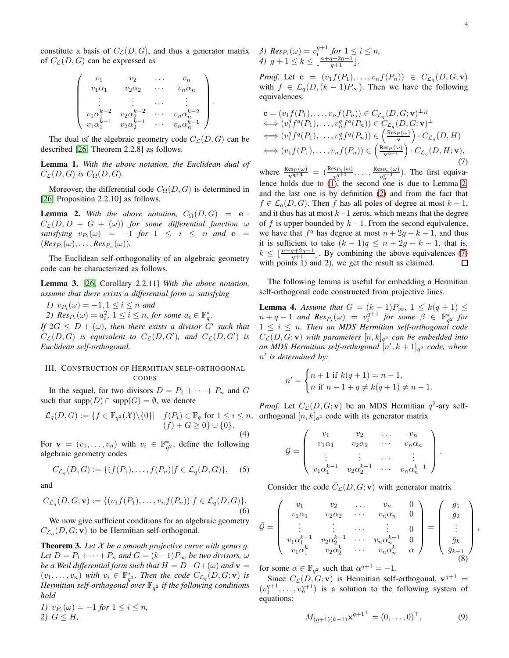constitute a basis of  $C_{\mathcal{L}}(D, G)$ , and thus a generator matrix of  $C_{\mathcal{L}}(D, G)$  can be expressed as

$$
\begin{pmatrix}\nv_1 & v_2 & \dots & v_n \\
v_1 \alpha_1 & v_2 \alpha_2 & \dots & v_n \alpha_n \\
\vdots & \vdots & \dots & \vdots \\
v_1 \alpha_1^{k-2} & v_2 \alpha_2^{k-2} & \dots & v_n \alpha_n^{k-2} \\
v_1 \alpha_1^{k-1} & v_2 \alpha_2^{k-1} & \dots & v_n \alpha_n^{k-1}\n\end{pmatrix}.
$$

The dual of the algebraic geometry code  $C_{\mathcal{L}}(D, G)$  can be described [\[26,](#page-12-12) Theorem 2.2.8] as follows.

Lemma 1. *With the above notation, the Euclidean dual of*  $C_{\mathcal{L}}(D, G)$  *is*  $C_{\Omega}(D, G)$ *.* 

Moreover, the differential code  $C_{\Omega}(D, G)$  is determined in [\[26,](#page-12-12) Proposition 2.2.10] as follows.

<span id="page-3-1"></span>**Lemma 2.** With the above notation,  $C_{\Omega}(D, G) = e$  $C_{\mathcal{L}}(D, D - G + (\omega))$  for some differential function  $\omega$  $satisfying \t v_{P_i}(\omega) = -1 \t for \t 1 \leq i \leq n \t and \t e =$  $(Res_{P_i}(\omega), \ldots, Res_{P_n}(\omega)).$ 

The Euclidean self-orthogonality of an algebraic geometry code can be characterized as follows.

Lemma 3. [\[26,](#page-12-12) Corollary 2.2.11] *With the above notation, assume that there exists a differential form* ω *satisfying*

*1*)  $v_{P_i}(\omega) = -1, 1 \le i \le n$  and

2)  $Res_{P_i}(\omega) = a_i^2, 1 \leq i \leq n, for some  $a_i \in \mathbb{F}_q^*$ .$ 

*If*  $2G \leq D + (\omega)$ , *then there exists a divisor G' such that*  $C_{\mathcal{L}}(D, G)$  *is equivalent to*  $C_{\mathcal{L}}(D, G')$ *, and*  $C_{\mathcal{L}}(D, G')$  *is Euclidean self-orthogonal.*

# <span id="page-3-0"></span>III. CONSTRUCTION OF HERMITIAN SELF-ORTHOGONAL CODES

In the sequel, for two divisors  $D = P_1 + \cdots + P_n$  and G such that  $supp(D) \cap supp(G) = \emptyset$ , we denote

$$
\mathcal{L}_q(D, G) := \{ f \in \mathbb{F}_{q^2}(\mathcal{X}) \setminus \{0\} | \quad f(P_i) \in \mathbb{F}_q \text{ for } 1 \le i \le n, (f) + G \ge 0 \} \cup \{0\}.
$$
\n(4)

For  $\mathbf{v} = (v_1, \dots, v_n)$  with  $v_i \in \mathbb{F}_{q^2}^*$ , define the following algebraic geometry codes

$$
C_{\mathcal{L}_q}(D, G) := \{ (f(P_1), \dots, f(P_n) | f \in \mathcal{L}_q(D, G) \},
$$
 (5)

and

$$
C_{\mathcal{L}_q}(D, G; \mathbf{v}) := \{ (v_1f(P_1), \dots, v_nf(P_n)) | f \in \mathcal{L}_q(D, G) \}.
$$
\n
$$
(6)
$$

We now give sufficient conditions for an algebraic geometry  $C_{\mathcal{L}_q}(D, G; \mathbf{v})$  to be Hermitian self-orthogonal.

<span id="page-3-4"></span>Theorem 3. *Let* X *be a smooth projective curve with genus* g*. Let*  $D = P_1 + \cdots + P_n$  *and*  $G = (k-1)P_\infty$  *be two divisors,*  $\omega$ *be a Weil differential form such that*  $H = D - G + (\omega)$  *and*  $\mathbf{v} =$  $(v_1, \ldots, v_n)$  with  $v_i \in \mathbb{F}_{q^2}^*$ . Then the code  $C_{\mathcal{L}_q}(D, G; \mathbf{v})$  is *Hermitian self-orthogonal over* F<sup>q</sup> <sup>2</sup> *if the following conditions hold*

1) 
$$
v_{P_i}(\omega) = -1
$$
 for  $1 \le i \le n$ ,  
2)  $G \le H$ ,

*3)*  $Res_{P_i}(\omega) = v_i^{q+1}$  for  $1 \le i \le n$ , *4*)  $g + 1 \leq k \leq \left[ \frac{n + q + 2g - 1}{q + 1} \right]$ .

*Proof.* Let  $\mathbf{c} = (v_1 f(P_1), \dots, v_n f(P_n)) \in C_{\mathcal{L}_q}(D, G; \mathbf{v})$ with  $f \in \mathcal{L}_q(D, (k-1)P_\infty)$ . Then we have the following equivalences:

<span id="page-3-2"></span>
$$
\mathbf{c} = (v_1 f(P_1), \dots, v_n f(P_n)) \in C_{\mathcal{L}_q}(D, G; \mathbf{v})^{\perp_H} \n\iff (v_1^q f^q(P_1), \dots, v_n^q f^q(P_n)) \in C_{\mathcal{L}_q}(D, G; \mathbf{v})^{\perp} \n\iff (v_1^q f^q(P_1), \dots, v_n^q f^q(P_n)) \in \left(\frac{\text{Res}_{\mathbf{v}}(\omega)}{\mathbf{v}}\right) \cdot C_{\mathcal{L}_q}(D, H) \n\iff (v_1 f(P_1), \dots, v_n f(P_n)) \in \left(\frac{\text{Res}_{\mathbf{v}}(\omega)}{\mathbf{v}^{q+1}}\right) \cdot C_{\mathcal{L}_q}(D, H; \mathbf{v}),
$$
\n(7)

where  $\frac{\text{Res}_P(\omega)}{|\mathbf{v}^{q+1}|} = \left(\frac{\text{Res}_{P_1}(\omega)}{v^{q+1}}\right)$  $\frac{v_1^{q+1}}{v_1^{q+1}}, \ldots, \frac{\text{Res}_{P_n}(\omega)}{v_n^{q+1}}$  $\frac{\exp_n(\omega)}{v_n^{q+1}}$ ). The first equivalence holds due to  $(1)$ , the second one is due to Lemma [2,](#page-3-1) and the last one is by definition [\(2\)](#page-2-1) and from the fact that  $f \in \mathcal{L}_{q}(D, G)$ . Then f has all poles of degree at most  $k - 1$ , and it thus has at most  $k-1$  zeros, which means that the degree of f is upper bounded by  $k-1$ . From the second equivalence, we have that  $f^q$  has degree at most  $n + 2g - k - 1$ , and thus it is sufficient to take  $(k-1)q \leq n+2g-k-1$ , that is,  $k \leq \lfloor \frac{n+q+2g-1}{q+1} \rfloor$ . By combining the above equivalences [\(7\)](#page-3-2) with points 1) and 2), we get the result as claimed.

The following lemma is useful for embedding a Hermitian self-orthogonal code constructed from projective lines.

<span id="page-3-5"></span>**Lemma 4.** Assume that  $G = (k-1)P_{\infty}, 1 \leq k(q+1) \leq$  $n + q - 1$  and  $Res_{P_i}(\omega) = v_i^{q+1}$  for some  $\beta \in \mathbb{F}_{q^2}^*$  for  $1 \leq i \leq n$ . Then an MDS Hermitian self-orthogonal code  $C_{\mathcal{L}}(D, G; \mathbf{v})$  with parameters  $[n, k]_{q^2}$  can be embedded into an MDS Hermitian self-orthogonal  $[n', k+1]_{q^2}$  code, where n ′ *is determined by:*

$$
n' = \begin{cases} n+1 \text{ if } k(q+1) = n-1, \\ n \text{ if } n-1+q \neq k(q+1) \neq n-1. \end{cases}
$$

*Proof.* Let  $C_{\mathcal{L}}(D, G; \mathbf{v})$  be an MDS Hermitian  $q^2$ -ary selforthogonal  $[n, k]_{q^2}$  code with its generator matrix

$$
G = \begin{pmatrix} v_1 & v_2 & \dots & v_n \\ v_1 \alpha_1 & v_2 \alpha_2 & \dots & v_n \alpha_n \\ \vdots & \vdots & \dots & \vdots \\ v_1 \alpha_1^{k-1} & v_2 \alpha_2^{k-1} & \dots & v_n \alpha_n^{k-1} \end{pmatrix}.
$$

Consider the code  $\overline{C}_{\mathcal{L}}(D, G; \mathbf{v})$  with generator matrix

$$
\bar{\mathcal{G}} = \left( \begin{array}{cccc} v_1 & v_2 & \dots & v_n & 0 \\ v_1 \alpha_1 & v_2 \alpha_2 & \dots & v_n \alpha_n & 0 \\ \vdots & \vdots & \dots & \vdots & 0 \\ v_1 \alpha_1^{k-1} & v_2 \alpha_2^{k-1} & \dots & v_n \alpha_n^{k-1} & 0 \\ v_1 \alpha_1^k & v_2 \alpha_2^k & \dots & v_n \alpha_n^k & \alpha \end{array} \right) = \left( \begin{array}{c} \bar{g}_1 \\ \bar{g}_2 \\ \vdots \\ \bar{g}_k \\ \bar{g}_{k+1} \\ \bar{g}_{k+1} \\ \end{array} \right)
$$

for some  $\alpha \in \mathbb{F}_{q^2}$  such that  $\alpha^{q+1} = -1$ .

Since  $C_{\mathcal{L}}(D, G; \mathbf{v})$  is Hermitian self-orthogonal,  $\mathbf{v}^{q+1} =$  $(v_1^{q+1}, \ldots, v_n^{q+1})$  is a solution to the following system of equations:

<span id="page-3-3"></span>
$$
M_{(q+1)(k-1)}\mathbf{x}^{q+1^{\top}} = (0,\ldots,0)^{\top}, \tag{9}
$$

,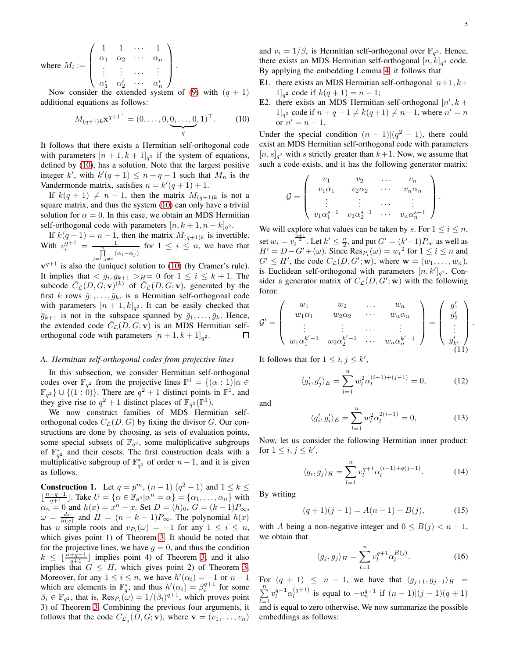where 
$$
M_i := \begin{pmatrix} 1 & 1 & \cdots & 1 \\ \alpha_1 & \alpha_2 & \cdots & \alpha_n \\ \vdots & \vdots & \cdots & \vdots \\ \alpha_1^i & \alpha_2^i & \cdots & \alpha_n^i \end{pmatrix}
$$
.

Now consider the extended system of [\(9\)](#page-3-3) with  $(q + 1)$ additional equations as follows:

<span id="page-4-0"></span>
$$
M_{(q+1)k} \mathbf{x}^{q+1^{\top}} = (0, \dots, 0, \underbrace{0, \dots, 0}_{q}, 1)^{\top}.
$$
 (10)

It follows that there exists a Hermitian self-orthogonal code with parameters  $[n+1, k+1]_{q^2}$  if the system of equations, defined by [\(10\)](#page-4-0), has a solution. Note that the largest positive integer k', with  $k'(q + 1) \leq n + q - 1$  such that  $M_n$  is the Vandermonde matrix, satisfies  $n = k'(q + 1) + 1$ .

If  $k(q + 1) \neq n - 1$ , then the matrix  $M_{(q+1)k}$  is not a square matrix, and thus the system [\(10\)](#page-4-0) can only have a trivial solution for  $\alpha = 0$ . In this case, we obtain an MDS Hermitian self-orthogonal code with parameters  $[n, k+1, n-k]_{q^2}$ .

If  $k(q+1) = n-1$ , then the matrix  $M_{(q+1)k}$  is invertible. With  $v_i^{q+1} = \frac{1}{\prod\limits_{j=1, j\neq i}^n (\alpha_i - \alpha_j)}$  for  $1 \leq i \leq n$ , we have that

 $v^{q+1}$  is also the (unique) solution to [\(10\)](#page-4-0) (by Cramer's rule). It implies that  $\langle \bar{g}_i, \bar{g}_{k+1} \rangle_{H} = 0$  for  $1 \leq i \leq k+1$ . The subcode  $\overline{C}_{\mathcal{L}}(D, G; \mathbf{v})^{(k)}$  of  $\overline{C}_{\mathcal{L}}(D, G; \mathbf{v})$ , generated by the first k rows  $\bar{g}_1, \ldots, \bar{g}_k$ , is a Hermitian self-orthogonal code with parameters  $[n+1, k]_{q^2}$ . It can be easily checked that  $\bar{g}_{k+1}$  is not in the subspace spanned by  $\bar{g}_1, \ldots, \bar{g}_k$ . Hence, the extended code  $\overline{C}_{\mathcal{L}}(D, G; \mathbf{v})$  is an MDS Hermitian selforthogonal code with parameters  $[n+1, k+1]_{q^2}$ . 囗

#### <span id="page-4-4"></span>*A. Hermitian self-orthogonal codes from projective lines*

In this subsection, we consider Hermitian self-orthogonal codes over  $\mathbb{F}_{q^2}$  from the projective lines  $\mathbb{P}^1 = \{(\alpha : 1) | \alpha \in \mathbb{R}^2\}$  $\mathbb{F}_{q^2}$   $\cup$  {(1 : 0)}. There are  $q^2 + 1$  distinct points in  $\mathbb{P}^1$ , and they give rise to  $q^2 + 1$  distinct places of  $\mathbb{F}_{q^2}(\mathbb{P}^1)$ .

We now construct families of MDS Hermitian selforthogonal codes  $C_{\mathcal{L}}(D, G)$  by fixing the divisor G. Our constructions are done by choosing, as sets of evaluation points, some special subsets of  $\mathbb{F}_{q^2}$ , some multiplicative subgroups of  $\mathbb{F}_{q^2}^*$  and their cosets. The first construction deals with a multiplicative subgroup of  $\mathbb{F}_{q^2}^*$  of order  $n-1$ , and it is given as follows.

<span id="page-4-3"></span>**Construction 1.** Let  $q = p^m$ ,  $(n-1)|(q^2 - 1)$  and  $1 \le k \le$  $\lfloor \frac{n+q-1}{q+1} \rfloor$ . Take  $U = \{ \alpha \in \mathbb{F}_{q^2} | \alpha^n = \alpha \} = \{ \alpha_1, \dots, \alpha_n \}$  with  $\alpha_n = 0$  and  $h(x) = x^n - x$ . Set  $D = (h)_0$ ,  $G = (k-1)P_{\infty}$ ,  $\omega = \frac{dx}{h(x)}$  and  $H = (n - k - 1)P_{\infty}$ . The polynomial  $h(x)$ has *n* simple roots and  $v_{P_i}(\omega) = -1$  for any  $1 \le i \le n$ , which gives point 1) of Theorem [3.](#page-3-4) It should be noted that for the projective lines, we have  $g = 0$ , and thus the condition  $k \leq \lfloor \frac{n+q-1}{q+1} \rfloor$  implies point 4) of Theorem [3,](#page-3-4) and it also implies that  $G \leq H$ , which gives point 2) of Theorem [3.](#page-3-4) Moreover, for any  $1 \le i \le n$ , we have  $h'(\alpha_i) = -1$  or  $n-1$ which are elements in  $\mathbb{F}_q^*$ , and thus  $h'(\alpha_i) = \beta_i^{q+1}$  for some  $\beta_i \in \mathbb{F}_{q^2}$ , that is,  $\text{Res}_{P_i}(\omega) = 1/(\beta_i)^{q+1}$ , which proves point 3) of Theorem [3.](#page-3-4) Combining the previous four arguments, it follows that the code  $C_{\mathcal{L}_q}(D, G; \mathbf{v})$ , where  $\mathbf{v} = (v_1, \dots, v_n)$ 

and  $v_i = 1/\beta_i$  is Hermitian self-orthogonal over  $\mathbb{F}_{q^2}$ . Hence, there exists an MDS Hermitian self-orthogonal  $[n, k]_{q^2}$  code. By applying the embedding Lemma [4,](#page-3-5) it follows that

- E1. there exists an MDS Hermitian self-orthogonal  $[n+1, k+1]$ 1]<sub>q</sub><sup>2</sup> code if  $k(q + 1) = n - 1$ ;
- E2. there exists an MDS Hermitian self-orthogonal  $[n', k]$ 1<sup></sup><sub>q</sub><sup>2</sup> code if  $n + q - 1 \neq k(q+1) \neq n-1$ , where  $n' = n$ or  $n' = n + 1$ .

Under the special condition  $(n - 1)/(q^2 - 1)$ , there could exist an MDS Hermitian self-orthogonal code with parameters  $[n, s]_{q^2}$  with s strictly greater than  $k+1$ . Now, we assume that such a code exists, and it has the following generator matrix:

$$
G = \left( \begin{array}{cccc} v_1 & v_2 & \dots & v_n \\ v_1 \alpha_1 & v_2 \alpha_2 & \dots & v_n \alpha_n \\ \vdots & \vdots & \dots & \vdots \\ v_1 \alpha_1^{s-1} & v_2 \alpha_2^{s-1} & \dots & v_n \alpha_n^{s-1} \end{array} \right).
$$

We will explore what values can be taken by s. For  $1 \le i \le n$ , set  $w_i = v_i^{\frac{\alpha+1}{2}}$ . Let  $k' \leq \frac{n}{2}$ , and put  $G' = (k'-1)P_\infty$  as well as  $H' = D - G' + (\omega)$ . Since  $\text{Res}_{P_i}(\omega) = w_i^2$  for  $1 \le i \le n$  and  $G' \leq H'$ , the code  $C_{\mathcal{L}}(D, G'; \mathbf{w})$ , where  $\mathbf{w} = (w_1, \dots, w_n)$ , is Euclidean self-orthogonal with parameters  $[n, k']_{q^2}$ . Consider a generator matrix of  $C_{\mathcal{L}}(D, G'; \mathbf{w})$  with the following form:

$$
\mathcal{G}' = \left( \begin{array}{cccc} w_1 & w_2 & \dots & w_n \\ w_1 \alpha_1 & w_2 \alpha_2 & \dots & w_n \alpha_n \\ \vdots & \vdots & \dots & \vdots \\ w_1 \alpha_1^{k'-1} & w_2 \alpha_2^{k'-1} & \dots & w_n \alpha_n^{k'-1} \end{array} \right) = \left( \begin{array}{c} g'_1 \\ g'_2 \\ \vdots \\ g'_{k'} \end{array} \right).
$$
 (11)

It follows that for  $1 \leq i, j \leq k'$ ,

<span id="page-4-2"></span>
$$
\langle g_i', g_j' \rangle_E = \sum_{l=1}^n w_l^2 \alpha_l^{(i-1)+(j-1)} = 0,\tag{12}
$$

and

$$
\langle g_i', g_i' \rangle_E = \sum_{l=1}^n w_l^2 \alpha_l^{2(i-1)} = 0,\tag{13}
$$

Now, let us consider the following Hermitian inner product: for  $1 \leq i, j \leq k'$ ,

<span id="page-4-1"></span>
$$
\langle g_i, g_j \rangle_H = \sum_{l=1}^n v_l^{q+1} \alpha_l^{(i-1)+q(j-1)}.
$$
 (14)

By writing

$$
(q+1)(j-1) = A(n-1) + B(j), \tag{15}
$$

with A being a non-negative integer and  $0 \leq B(j) < n-1$ , we obtain that

$$
\langle g_j, g_j \rangle_H = \sum_{l=1}^n v_l^{q+1} \alpha_l^{B(j)}.
$$
 (16)

For  $(q + 1) \leq n - 1$ , we have that  $\langle g_{i+1}, g_{i+1} \rangle_H =$  $\sum_{n=1}^{\infty}$  $_{l=1}$  $v_l^{q+1} \alpha_l^{(q+1)}$  $\binom{q+1}{l}$  is equal to  $-v_n^{q+1}$  if  $(n-1)|(j-1)(q+1)$ and is equal to zero otherwise. We now summarize the possible embeddings as follows: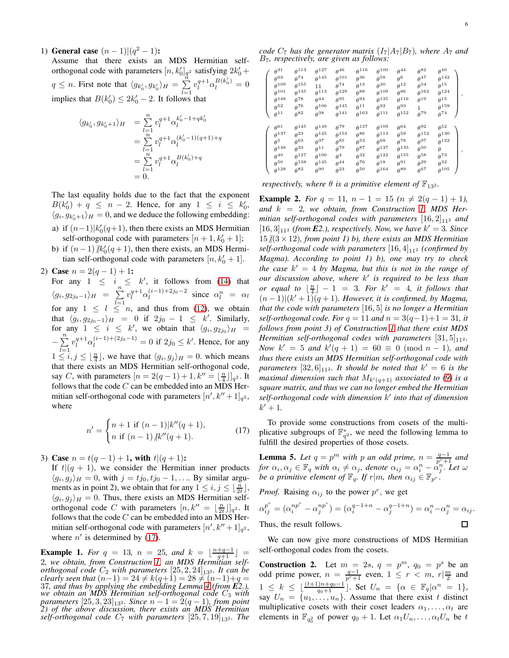1) General case  $(n-1)|(q^2-1)$ :

Assume that there exists an MDS Hermitian selforthogonal code with parameters  $[n, k'_0]_{q^2}$  satisfying  $2k'_0 +$  $q \leq n$ . First note that  $\langle g_{k'_0}, g_{k'_0} \rangle_H = \sum_{k=1}^{n}$  $_{l=1}$  $v_l^{q+1} \alpha_l^{B(k'_0)} = 0$ implies that  $B(k'_0) \leq 2k'_0 - 2$ . It follows that

$$
\langle g_{k'_0}, g_{k'_0+1} \rangle_H = \sum_{l=1}^n v_l^{q+1} \alpha_l^{k'_0 - 1 + qk'_0}
$$
  
= 
$$
\sum_{l=1}^n v_l^{q+1} \alpha_l^{(k'_0 - 1)(q+1) + q}
$$
  
= 
$$
\sum_{l=1}^n v_l^{q+1} \alpha_l^{B(k'_0) + q}
$$
  
= 0.

The last equality holds due to the fact that the exponent  $B(k'_0) + q \leq n - 2$ . Hence, for any  $1 \leq i \leq k'_0$ ,  $\langle g_i, g_{k'_0+1} \rangle_H = 0$ , and we deduce the following embedding: a) if  $(n-1) \, | k'_0(q+1)$ , then there exists an MDS Hermitian

- self-orthogonal code with parameters  $[n+1, k'_0 + 1]$ ;
- b) if  $(n-1)$   $/k'_0(q+1)$ , then there exists, an MDS Hermitian self-orthogonal code with parameters  $[n, k'_0 + 1]$ .
- 2) Case  $n = 2(q-1) + 1$ :

For any  $1 \leq i \leq k'$ , it follows from [\(14\)](#page-4-1) that  $\langle g_i, g_{2j_0-1}\rangle_H = \sum_{i=1}^n$  $_{l=1}$  $v_l^{q+1} \alpha_l^{(i-1)+2j_0-2}$  since  $\alpha_l^n = \alpha_l$ for any  $1 \leq l \leq n$ , and thus from [\(12\)](#page-4-2), we obtain that  $\langle g_i, g_{2j_0-1}\rangle_H = 0$  if  $2j_0 - 1 \leq k'$ . Similarly, for any  $1 \leq i \leq k'$ , we obtain that  $\langle g_i, g_{2j_0} \rangle_H =$  $-\sum_{i=1}^{n} v_i^{q+1} \alpha_i^{(i-1)+(2j_0-1)} = 0$  if  $2j_0 \le k'$ . Hence, for any  $1 \leq i, j \leq \lfloor \frac{n}{4} \rfloor$ , we have that  $\langle g_i, g_j \rangle_H = 0$ . which means that there exists an MDS Hermitian self-orthogonal code, say C, with parameters  $[n = 2(q-1)+1, k'' = \lfloor \frac{n}{4} \rfloor]_{q^2}$ . It follows that the code  $C$  can be embedded into an MDS Hermitian self-orthogonal code with parameters  $[n', k'' + 1]_{q^2}$ , where

<span id="page-5-0"></span>
$$
n' = \begin{cases} n+1 \text{ if } (n-1)|k''(q+1), \\ n \text{ if } (n-1)|k''(q+1). \end{cases}
$$
(17)

3) Case  $n = t(q-1) + 1$ , with  $t|(q+1)$ :

If  $t|(q + 1)$ , we consider the Hermitian inner products  $\langle g_i, g_j \rangle_H = 0$ , with  $j = tj_0, tj_0 - 1, \dots$  By similar arguments as in point 2), we obtain that for any  $1 \le i, j \le \lfloor \frac{n}{2t} \rfloor$ ,  $\langle g_i, g_j \rangle_H = 0$ . Thus, there exists an MDS Hermitian selforthogonal code C with parameters  $[n, k'' = \lfloor \frac{n}{2t} \rfloor]_{q^2}$ . It follows that the code  $C$  can be embedded into an MDS Hermitian self-orthogonal code with parameters  $[n', k'' + 1]_{q^2}$ , where  $n'$  is determined by [\(17\)](#page-5-0).

**Example 1.** For  $q = 13$ ,  $n = 25$ , and  $k = \lfloor \frac{n+q-1}{q+1} \rfloor$ 2*, we obtain, from Construction [1,](#page-4-3) an MDS Hermitian selforthogonal code*  $C_2$  *with parameters*  $[25, 2, 24]_{13^2}$ *. It can be clearly seen that*  $(n-1) = 24 \neq k(q+1) = 28 \neq (n-1)+q = 27$ 37*, and thus by applying the embedding Lemma [4](#page-3-5) (from E2.), we obtain an MDS Hermitian self-orthogonal code* C<sup>3</sup> *with parameters*  $[25, 3, 23]_{13^2}$ *. Since*  $n - 1 = 2(q - 1)$ *, from point 2) of the above discussion, there exists an MDS Hermitian self-orthogonal code*  $C_7$  *with parameters*  $[25, 7, 19]_{13^2}$ *. The* 

*code*  $C_7$  *has the generator matrix*  $(I_7|A_7|B_7)$ *, where*  $A_7$  *and* B7*, respectively, are given as follows:*

| $\theta^{31}$  | $\theta^{113}$ | $\theta^{127}$ | $\theta^{46}$  | $\theta^{116}$ | $\theta^{100}$ | $\theta^{44}$  | $\theta^{82}$ | $\theta^{40}$  |  |
|----------------|----------------|----------------|----------------|----------------|----------------|----------------|---------------|----------------|--|
| $\theta^{63}$  | $\theta^{74}$  | $\theta^{145}$ | $\theta^{101}$ | $\theta^{36}$  | $\theta^{58}$  | $heta^6$       | $\theta^{47}$ | $\theta^{142}$ |  |
| $\theta^{109}$ | $heta^{155}$   | 11             | $\theta^{74}$  | $\theta^{13}$  | $\rho^{30}$    | $heta^{12}$    | $\theta^{54}$ | $\theta^{15}$  |  |
| $\theta^{101}$ | $heta^{135}$   | $heta^{113}$   | $heta^{129}$   | $heta^{88}$    | $\theta^{109}$ | $heta^{86}$    | $heta^{162}$  | $\theta^{124}$ |  |
| $\theta^{148}$ | $\rho^{78}$    | $\theta^{44}$  | $heta^{95}$    | $\theta^{94}$  | $heta^{135}$   | $\theta^{116}$ | $\theta^{19}$ | $\theta^{15}$  |  |
| $\theta^{52}$  | $\rho^{76}$    | $heta^{106}$   | $heta^{145}$   | $\theta^{11}$  | $A^{92}$       | $\theta^{93}$  | 1             | $heta^{159}$   |  |
| $\theta^{11}$  | $h^{82}$       | $heta^{38}$    | $\theta^{141}$ | $\theta^{163}$ | $\theta^{111}$ | $\theta^{152}$ | $\rho^{79}$   | $\theta^{74}$  |  |
| $\theta^{61}$  | $heta^{145}$   | $\theta^{149}$ | $\theta^{79}$  | $\theta^{137}$ | $\theta^{109}$ | $\theta^{64}$  | $\theta^{92}$ | $\theta^{52}$  |  |
| $\theta^{137}$ | $\rho^{23}$    | $heta^{145}$   | $heta^{153}$   | $heta^{86}$    | $heta^{113}$   | $heta^{59}$    | $heta^{152}$  | $heta^{130}$   |  |
| $\theta^5$     | $heta^{63}$    | $\theta^{37}$  | $heta^{85}$    | $\theta^{53}$  | $heta^{68}$    | $\theta^{78}$  | $\theta^{97}$ | $\theta^{122}$ |  |
| $\theta^{148}$ | $heta^{33}$    | $\theta^{11}$  | $\theta^{79}$  | $\theta^{87}$  | $\theta^{137}$ | $heta^{135}$   | $heta^{50}$   | $\theta$       |  |
| $\theta^{40}$  | $\theta^{127}$ | $heta^{100}$   | $\theta^4$     | $\theta^{32}$  | $heta^{122}$   | $heta^{155}$   | $\rho^{58}$   | $\theta^{73}$  |  |
| $\theta^{50}$  | $heta^{138}$   | $heta^{145}$   | $heta^{44}$    | $\theta^{76}$  | $heta^{18}$    | $\theta^{91}$  | $heta^{29}$   | $\theta^{32}$  |  |
| $\theta^{128}$ | $\theta^{82}$  | $h^{\rm 90}$   | $heta^{23}$    | $\theta^{50}$  | $\theta^{164}$ | $h^{89}$       | $\theta^{67}$ | $\theta^{105}$ |  |

*respectively, where*  $\theta$  *is a primitive element of*  $\mathbb{F}_{13^2}$ *.* 

**Example 2.** *For*  $q = 11$ ,  $n - 1 = 15$   $(n \neq 2(q - 1) + 1)$ , *and* k = 2*, we obtain, from Construction [1,](#page-4-3) MDS Hermitian self-orthogonal codes with parameters*  $[16, 2]_{11^2}$  *and*  $[16, 3]_{11^2}$  *(from E2.), respectively. Now, we have*  $k' = 3$ *. Since*  $15/(3 \times 12)$ , from point 1) b), there exists an MDS Hermitian *self-orthogonal code with parameters*  $[16, 4]_{11^2}$  *(confirmed by Magma). According to point 1) b), one may try to check the case* k ′ = 4 *by Magma, but this is not in the range of our discussion above, where* k ′ *is required to be less than or equal to*  $\lfloor \frac{n}{4} \rfloor - 1 = 3$ *. For*  $k' = 4$ *, it follows that*  $(n-1)|(k'+1)(q+1)$ . However, it is confirmed, by Magma, *that the code with parameters* [16, 5] *is no longer a Hermitian self-orthogonal code. For*  $q = 11$  *and*  $n = 3(q-1)+1 = 31$ *, it follows from point 3) of Construction [1](#page-4-3) that there exist MDS Hermitian self-orthogonal codes with parameters*  $[31, 5]_{11^2}$ *. Now*  $k' = 5$  *and*  $k'(q + 1) = 60 \equiv 0 \pmod{n - 1}$ *, and thus there exists an MDS Hermitian self-orthogonal code with* parameters  $[32, 6]_{11}$ <sup>2</sup>. It should be noted that  $k' = 6$  is the *maximal dimension such that*  $M_{k'(q+1)}$  *associated to* [\(9\)](#page-3-3) *is a square matrix, and thus we can no longer embed the Hermitian self-orthogonal code with dimension* k ′ *into that of dimension*  $k' + 1$ .

To provide some constructions from cosets of the multiplicative subgroups of  $\mathbb{F}_{q^2}^*$ , we need the following lemma to fulfill the desired properties of those cosets.

<span id="page-5-1"></span>**Lemma 5.** Let  $q = p^m$  with p an odd prime,  $n = \frac{q-1}{p^r+1}$  and *for*  $\alpha_i, \alpha_j \in \mathbb{F}_q$  *with*  $\alpha_i \neq \alpha_j$ *, denote*  $\alpha_{ij} = \alpha_i^n - \alpha_j^n$ <sup>T</sup>. Let  $\omega$ *be a primitive element of*  $\mathbb{F}_q$ *. If*  $r|m$ *, then*  $\alpha_{ij} \in \mathbb{F}_p$ <sup>r</sup>.

*Proof.* Raising  $\alpha_{ij}$  to the power  $p^r$ , we get

$$
\alpha_{ij}^{p^r} = (\alpha_i^{np^r} - \alpha_j^{np^r}) = (\alpha_i^{q-1+n} - \alpha_j^{q-1+n}) = \alpha_i^n - \alpha_j^n = \alpha_{ij}.
$$
  
Thus, the result follows.

We can now give more constructions of MDS Hermitian self-orthogonal codes from the cosets.

<span id="page-5-2"></span>**Construction 2.** Let  $m = 2s$ ,  $q = p^m$ ,  $q_0 = p^s$  be an odd prime power,  $n = \frac{q-1}{p^r+1}$  even,  $1 \le r < m$ ,  $r\left|\frac{m}{2}\right|$  and  $1 \leq k \leq \lfloor \frac{(t+1)n+q_0-1}{q_0+1} \rfloor$ . Set  $U_n = \{ \alpha \in \mathbb{F}_q | \alpha^n = 1 \},$ say  $U_n = \{u_1, \ldots, u_n\}$ . Assume that there exist t distinct multiplicative cosets with their coset leaders  $\alpha_1, \ldots, \alpha_t$  are elements in  $\mathbb{F}_{q_0^2}$  of power  $q_0 + 1$ . Let  $\alpha_1 U_n, \dots, \alpha_t U_n$  be t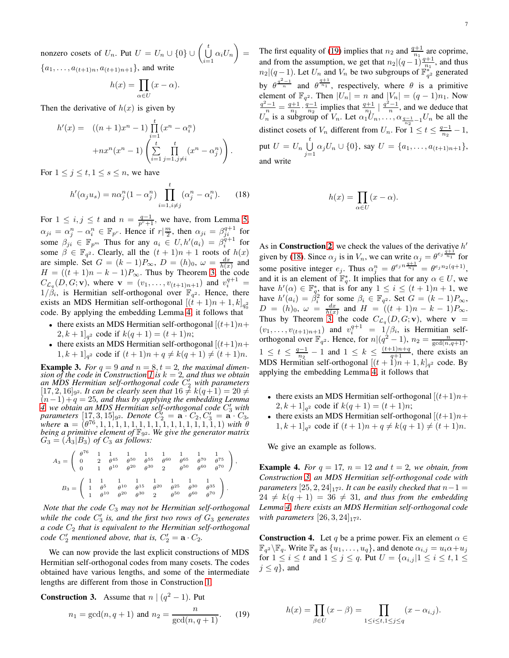nonzero cosets of  $U_n$ . Put  $U = U_n \cup \{0\} \cup \left(\bigcup_{n=1}^{\infty}$  $\bigcup_{i=1}^t \alpha_i U_n\bigg) =$  ${a_1, \ldots, a_{(t+1)n}, a_{(t+1)n+1}}$ , and write

$$
h(x) = \prod_{\alpha \in U} (x - \alpha).
$$

Then the derivative of  $h(x)$  is given by

$$
h'(x) = ((n+1)x^{n} - 1) \prod_{i=1}^{t} (x^{n} - \alpha_{i}^{n}) + nx^{n}(x^{n} - 1) \left( \sum_{i=1}^{t} \prod_{j=1, j \neq i}^{t} (x^{n} - \alpha_{j}^{n}) \right).
$$

For  $1 \leq j \leq t, 1 \leq s \leq n$ , we have

<span id="page-6-1"></span>
$$
h'(\alpha_j u_s) = n\alpha_j^n (1 - \alpha_j^n) \prod_{i=1, i \neq j}^t (\alpha_j^n - \alpha_i^n). \tag{18}
$$

For  $1 \leq i, j \leq t$  and  $n = \frac{q-1}{p^r+1}$ , we have, from Lemma [5,](#page-5-1)  $\alpha_{ji} = \alpha_j^n - \alpha_i^n \in \mathbb{F}_{p^r}$ . Hence if  $r | \frac{m}{2}$ , then  $\alpha_{ji} = \beta_{ji}^{q+1}$  for some  $\beta_{ji} \in \mathbb{F}_{p^m}$  Thus for any  $a_i \in U, h'(a_i) = \beta_i^{q+1}$  for some  $\beta \in \mathbb{F}_{q^2}$ . Clearly, all the  $(t+1)n + 1$  roots of  $h(x)$ are simple. Set  $G = (k-1)P_{\infty}, D = (h)_0, \omega = \frac{dx}{h(x)}$  and  $H = ((t + 1)n - k - 1)P_{\infty}$ . Thus by Theorem [3,](#page-3-4) the code  $C_{\mathcal{L}_q}(D, G; \mathbf{v})$ , where  $\mathbf{v} = (v_1, \dots, v_{(t+1)n+1})$  and  $v_i^{q+1} =$  $1/\dot{\beta}_i$ , is Hermitian self-orthogonal over  $\mathbb{F}_{q^2}$ . Hence, there exists an MDS Hermitian self-orthogonal  $[(t+1)n+1, k]_{q_0^2}$ code. By applying the embedding Lemma [4,](#page-3-5) it follows that

- there exists an MDS Hermitian self-orthogonal  $[(t+1)n+$  $[2, k+1]_{q^2}$  code if  $k(q+1) = (t+1)n;$
- there exists an MDS Hermitian self-orthogonal  $[(t+1)n+$  $[1, k+1]_{q^2}$  code if  $(t+1)n + q \neq k(q+1) \neq (t+1)n$ .

**Example 3.** For  $q = 9$  and  $n = 8, t = 2$ , the maximal dimen-*sion of the code in Construction [1](#page-4-3) is*  $k = 2$ *, and thus we obtain an MDS Hermitian self-orthogonal code* C ′ <sup>2</sup> *with parameters*  $[17, 2, 16]$ <sub>92</sub>. It can be clearly seen that  $16 \neq k(q+1) = 20 \neq$  $(n-1)+q = 25$ , and thus by applying the embedding Lemma *[4,](#page-3-5) we obtain an MDS Hermitian self-orthogonal code* C ′ <sup>3</sup> *with parameters*  $[17, 3, 15]_{9^2}$ . *Denote*  $C'_2 = \mathbf{a} \cdot C_2, C'_3 = \mathbf{a} \cdot C_3,$ *where* a = (θ 76 , 1, 1, 1, 1, 1, 1, 1, 1, 1, 1, 1, 1, 1, 1, 1, 1) *with* θ *being a primitive element of* F9<sup>2</sup> *. We give the generator matrix*  $G_3 = (A_3 | B_3)$  *of*  $C_3$  *as follows:* 

$$
A_3 = \begin{pmatrix} \theta^{76} & 1 & 1 & 1 & 1 & 1 & 1 & 1 & 1 & 1 \\ 0 & 2 & \theta^{45} & \theta^{50} & \theta^{55} & \theta^{60} & \theta^{65} & \theta^{70} & \theta^{75} \\ 0 & 1 & \theta^{10} & \theta^{20} & \theta^{30} & 2 & \theta^{50} & \theta^{60} & \theta^{70} \end{pmatrix},
$$
  
\n
$$
B_3 = \begin{pmatrix} 1 & 1 & 1 & 1 & 1 & 1 & 1 & 1 & 1 \\ 1 & \theta^5 & \theta^{10} & \theta^{15} & \theta^{20} & \theta^{25} & \theta^{30} & \theta^{35} \\ 1 & \theta^{10} & \theta^{20} & \theta^{30} & 2 & \theta^{50} & \theta^{60} & \theta^{70} \end{pmatrix}.
$$

*Note that the code* C<sup>3</sup> *may not be Hermitian self-orthogonal* while the code  $C_3'$  is, and the first two rows of  $G_3$  generates *a* code  $C_2$  that is equivalent to the Hermitian self-orthogonal *code*  $C'_2$  *mentioned above, that is,*  $C'_2 = \mathbf{a} \cdot C_2$ *.* 

We can now provide the last explicit constructions of MDS Hermitian self-orthogonal codes from many cosets. The codes obtained have various lengths, and some of the intermediate lengths are different from those in Construction [1.](#page-4-3)

<span id="page-6-2"></span>**Construction 3.** Assume that  $n | (q^2 - 1)$ . Put

<span id="page-6-0"></span>
$$
n_1 = \gcd(n, q + 1) \text{ and } n_2 = \frac{n}{\gcd(n, q + 1)}.
$$
 (19)

The first equality of [\(19\)](#page-6-0) implies that  $n_2$  and  $\frac{q+1}{n_1}$  are coprime, and from the assumption, we get that  $n_2|(q-1)\frac{q+1}{n_1}$ , and thus  $n_2|(q-1)$ . Let  $U_n$  and  $V_n$  be two subgroups of  $\mathbb{F}_{q^2}^*$  generated by  $\theta^{\frac{q^2-1}{n}}$  and  $\theta^{\frac{q+1}{n_1}}$ , respectively, where  $\theta$  is a primitive element of  $\mathbb{F}_{q^2}$ . Then  $|U_n| = n$  and  $|V_n| = (q-1)n_1$ . Now  $\frac{q^2-1}{n_1} = \frac{q+1}{n_1} \cdot \frac{q-1}{n_2}$  implies that  $\frac{q+1}{n_1} \mid \frac{q^2-1}{n}$ , and we deduce that  $U_n$  is a subgroup of  $V_n$ . Let  $\alpha_1 \overline{U}_n, \ldots, \alpha_{\frac{q-1}{n_2}-1} U_n$  be all the distinct cosets of  $V_n$  different from  $U_n$ . For  $1 \le t \le \frac{q-1}{n_2}$  $\frac{l-1}{n_2}-1,$ put  $U = U_n \bigcup_{i=1}^{t}$  $\bigcup_{j=1} \alpha_j U_n \cup \{0\}$ , say  $U = \{a_1, \ldots, a_{(t+1)n+1}\},\$ and write

$$
h(x) = \prod_{\alpha \in U} (x - \alpha).
$$

As in **Construction [2](#page-5-2)**, we check the values of the derivative  $h'$ given by [\(18\)](#page-6-1). Since  $\alpha_j$  is in  $V_n$ , we can write  $\alpha_j = \theta^{e_j} \frac{q+1}{n_1}$  for some positive integer  $e_j$ . Thus  $\alpha_j^n = \theta^{e_j n} \frac{q+1}{n_1} = \theta^{e_j n_2 (q+1)}$ , and it is an element of  $\mathbb{F}_q^*$ . It implies that for any  $\alpha \in U$ , we have  $h'(\alpha) \in \mathbb{F}_{q_0}^*$  that is for any  $1 \leq i \leq (t+1)n + 1$ , we have  $h'(a_i) = \beta_i^2$  for some  $\beta_i \in \mathbb{F}_{q^2}$ . Set  $G = (k-1)P_{\infty}$ ,  $D = (h)_0, \ \omega = \frac{dx}{h(x)}$  and  $H = ((t + 1)n - k - 1)P_{\infty}$ . Thus by Theorem [3,](#page-3-4) the code  $C_{\mathcal{L}_q}(D, G; \mathbf{v})$ , where  $\mathbf{v} =$  $(v_1, \ldots, v_{(t+1)n+1})$  and  $v_i^{q+1} = 1/\beta_i$ , is Hermitian selforthogonal over  $\mathbb{F}_{q^2}$ . Hence, for  $n|(q^2-1)$ ,  $n_2 = \frac{n}{\gcd(n,q+1)}$ ,  $1 \leq t \leq \frac{q-1}{n_2} - 1$  and  $1 \leq k \leq \frac{(t+1)n+q}{q+1}$ , there exists an MDS Hermitian self-orthogonal  $[(t+1)n+1, k]_{q^2}$  code. By applying the embedding Lemma [4,](#page-3-5) it follows that

- there exists an MDS Hermitian self-orthogonal  $[(t+1)n+$  $[2, k+1]_{q^2}$  code if  $k(q+1) = (t+1)n;$
- there exists an MDS Hermitian self-orthogonal  $[(t+1)n+$  $[1, k+1]_{q^2}$  code if  $(t+1)n + q \neq k(q+1) \neq (t+1)n$ .

We give an example as follows.

**Example 4.** For  $q = 17$ ,  $n = 12$  and  $t = 2$ , we obtain, from *Construction [3,](#page-6-2) an MDS Hermitian self-orthogonal code with parameters*  $[25, 2, 24]_{17}$ <sup>2</sup>*. It can be easily checked that*  $n-1 =$  $24 \neq k(q + 1) = 36 \neq 31$ , and thus from the embedding *Lemma [4,](#page-3-5) there exists an MDS Hermitian self-orthogonal code with parameters*  $[26, 3, 24]_{17^2}$ .

<span id="page-6-3"></span>**Construction 4.** Let q be a prime power. Fix an element  $\alpha \in$  $\mathbb{F}_{q^2} \backslash \mathbb{F}_q$ . Write  $\mathbb{F}_q$  as  $\{u_1, \ldots, u_q\}$ , and denote  $\alpha_{i,j} = u_i \alpha + u_j$ for  $1 \leq i \leq t$  and  $1 \leq j \leq q$ . Put  $U = \{\alpha_{i,j} | 1 \leq i \leq t, 1 \leq t\}$  $j \leq q$ , and

$$
h(x) = \prod_{\beta \in U} (x - \beta) = \prod_{1 \le i \le t, 1 \le j \le q} (x - \alpha_{i,j}).
$$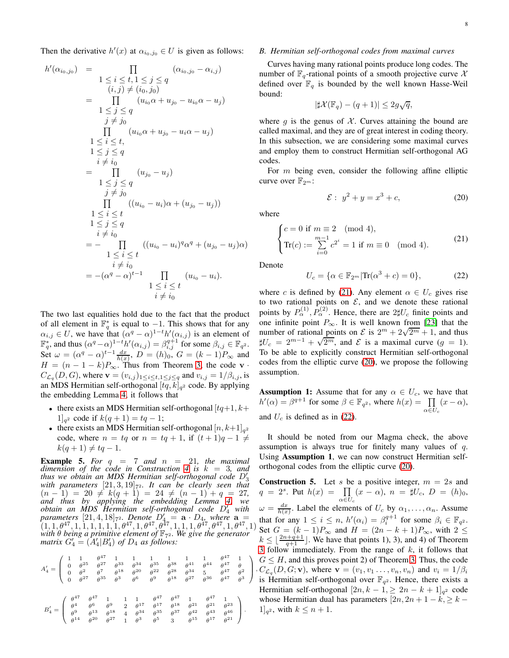Then the derivative  $h'(x)$  at  $\alpha_{i_0,j_0} \in U$  is given as follows:

$$
h'(\alpha_{i_0,j_0}) = \prod_{\begin{array}{l}1 \leq i \leq t, 1 \leq j \leq q\\(i,j) \neq (i_0,j_0) \end{array}} (\alpha_{i_0,j_0} - \alpha_{i,j})
$$
  
\n
$$
= \prod_{\begin{array}{l}1 \leq j \leq q\\j \neq j_0\end{array}} (\alpha_{i_0} \alpha + u_{j_0} - u_{i_0} \alpha - u_j)
$$
  
\n
$$
1 \leq j \leq q
$$
  
\n
$$
\prod_{\begin{array}{l}1 \leq i \leq t,\\i \neq i_0\end{array}} (\alpha_{i_0} \alpha + u_{j_0} - u_i \alpha - u_j)
$$
  
\n
$$
1 \leq j \leq q
$$
  
\n
$$
i \neq i_0
$$
  
\n
$$
\prod_{\begin{array}{l}1 \leq i \leq t\\1 \leq j \leq q\end{array}} (\alpha_{i_0} - u_i) \alpha + (u_{j_0} - u_j))
$$
  
\n
$$
1 \leq i \leq t
$$
  
\n
$$
i \neq i_0
$$
  
\n
$$
= - \prod_{\begin{array}{l}1 \leq i \leq t\\i \neq i_0\end{array}} ((u_{i_0} - u_i)^q \alpha^q + (u_{j_0} - u_j) \alpha)
$$
  
\n
$$
1 \leq i \leq t
$$
  
\n
$$
i \neq i_0
$$
  
\n
$$
= -(\alpha^q - \alpha)^{t-1} \prod_{\begin{array}{l}1 \leq i \leq t\\i \neq i_0\end{array}} (u_{i_0} - u_i).
$$

The two last equalities hold due to the fact that the product of all element in  $\mathbb{F}_q^*$  is equal to  $-1$ . This shows that for any  $\alpha_{i,j} \in U$ , we have that  $(\alpha^q - \alpha)^{1-t} h'(\alpha_{i,j})$  is an element of  $\mathbb{F}_q^*$ , and thus  $(\alpha^q - \alpha)^{1-t} h'(\alpha_{i,j}) = \beta_{i,j}^{q+1}$  for some  $\beta_{i,j} \in \mathbb{F}_{q^2}$ . Set  $\omega = (\alpha^q - \alpha)^{t-1} \frac{dx}{h(x)}, D = (h)_0, G = (k-1)P_\infty$  and  $H = (n - 1 - k)P_{\infty}$ . Thus from Theorem [3,](#page-3-4) the code v ·  $C_{\mathcal{L}_q}(D, G)$ , where  $\mathbf{v} = (v_{i,j})_{1 \leq i \leq t, 1 \leq j \leq q}$  and  $v_{i,j} = 1/\beta_{i,j}$ , is an MDS Hermitian self-orthogonal  $[tq, k]_{q^2}$  code. By applying the embedding Lemma [4,](#page-3-5) it follows that

- there exists an MDS Hermitian self-orthogonal  $[tq+1, k+1]$  $1]_{q^2}$  code if  $k(q+1) = tq - 1$ ;
- there exists an MDS Hermitian self-orthogonal  $[n, k+1]_{q^2}$ code, where  $n = tq$  or  $n = tq + 1$ , if  $(t + 1)q - 1 \neq$  $k(q + 1) \neq tq - 1.$

**Example 5.** For  $q = 7$  and  $n = 21$ , the maximal *dimension of the code in Construction [4](#page-6-3) is* k = 3*, and thus we obtain an MDS Hermitian self-orthogonal code* D′ 3 with parameters  $[21,3,19]$ <sub>72</sub>. It can be clearly seen that  $(n - 1) = 20 \neq k(q + 1) = 24 \neq (n - 1) + q = 27$ ,<br> *and thus by applying the embedding Lemma [4,](#page-3-5) we obtain an MDS Hermitian self-orthogonal code* D′ <sup>4</sup> *with* parameters [21, 4, 18]<sub>72</sub>. Denote  $D'_4 = \mathbf{a} \cdot D_4$ , where  $\mathbf{a} = (1, 1, \theta^{47}, 1, 1, 1, 1, 1, 1, \theta^{47}, 1, \theta^{47}, \theta^{47}, 1, 1, 1, \theta^{47}, \theta^{47}, 1, \theta^{47}, 1)$ <br>with  $\theta$  being a primitive element of  $\mathbb{F}_{7^2}$ . We give the ge *matrix*  $G'_4 = (A'_4 | B'_4)$  *of*  $D_4$  *as follows:* 

$$
A_4' = \begin{pmatrix} 1 & 1 & \theta^{47} & 1 & 1 & 1 & 1 & 1 & 1 & \theta^{47} & 1 \\ 0 & \theta^{25} & \theta^{27} & \theta^{33} & \theta^{34} & \theta^{35} & \theta^{38} & \theta^{41} & \theta^{44} & \theta^{47} & \theta \\ 0 & \theta^{2} & \theta^{7} & \theta^{18} & \theta^{20} & \theta^{22} & \theta^{28} & \theta^{34} & 5 & \theta^{47} & \theta^{2} \\ 0 & \theta^{27} & \theta^{35} & \theta^{3} & \theta^{6} & \theta^{9} & \theta^{18} & \theta^{27} & \theta^{36} & \theta^{47} & \theta^{3} \end{pmatrix}
$$

$$
B_4' = \begin{pmatrix} \theta^{47} & \theta^{47} & 1 & 1 & \theta^{47} & \theta^{47} & 1 & \theta^{47} & 1 \\ \theta^{4} & \theta^{6} & \theta^{9} & 2 & \theta^{17} & \theta^{17} & \theta^{18} & \theta^{21} & \theta^{21} & \theta^{23} \\ \theta^{9} & \theta^{13} & \theta^{18} & 4 & \theta^{34} & \theta^{35} & \theta^{37} & \theta^{42} & \theta^{43} & \theta^{46} \\ \theta^{14} & \theta^{20} & \theta^{27} & 1 & \theta^{3} & \theta^{5} & 3 & \theta^{15} & \theta^{17} & \theta^{21} \end{pmatrix}.
$$

## *B. Hermitian self-orthogonal codes from maximal curves*

Curves having many rational points produce long codes. The number of  $\mathbb{F}_q$ -rational points of a smooth projective curve X defined over  $\mathbb{F}_q$  is bounded by the well known Hasse-Weil bound:

$$
|\sharp \mathcal{X}(\mathbb{F}_q) - (q+1)| \leq 2g\sqrt{q},
$$

where  $g$  is the genus of  $\mathcal X$ . Curves attaining the bound are called maximal, and they are of great interest in coding theory. In this subsection, we are considering some maximal curves and employ them to construct Hermitian self-orthogonal AG codes.

For  $m$  being even, consider the following affine elliptic curve over  $\mathbb{F}_{2^m}$ :

<span id="page-7-1"></span>
$$
\mathcal{E}: y^2 + y = x^3 + c,\tag{20}
$$

where

<span id="page-7-0"></span>
$$
\begin{cases}\nc = 0 \text{ if } m \equiv 2 \pmod{4}, \\
\operatorname{Tr}(c) := \sum_{i=0}^{m-1} c^{2^i} = 1 \text{ if } m \equiv 0 \pmod{4}.\n\end{cases}
$$
\n(21)

Denote

<span id="page-7-2"></span>
$$
U_c = \{ \alpha \in \mathbb{F}_{2^m} | \text{Tr}(\alpha^3 + c) = 0 \},\tag{22}
$$

where c is defined by [\(21\)](#page-7-0). Any element  $\alpha \in U_c$  gives rise to two rational points on  $\mathcal{E}$ , and we denote these rational points by  $P_{\alpha}^{(1)}$ ,  $P_{\alpha}^{(2)}$ . Hence, there are  $2\sharp U_c$  finite points and one infinite point  $P_{\infty}$ . It is well known from [\[23\]](#page-12-13) that the number of rational points on  $\mathcal{E}$  is  $2^m + 2\sqrt{2^m + 1}$ , and thus  $\sharp U_c = 2^{m-1} + \sqrt{2^m}$ , and  $\mathcal E$  is a maximal curve  $(g = 1)$ . To be able to explicitly construct Hermitian self-orthogonal codes from the elliptic curve [\(20\)](#page-7-1), we propose the following assumption.

**Assumption 1:** Assume that for any  $\alpha \in U_c$ , we have that  $h'(\alpha) = \beta^{q+1}$  for some  $\beta \in \mathbb{F}_{q^2}$ , where  $h(x) = \prod_{n=1}^{\infty}$  $\prod_{\alpha \in U_c} (x - \alpha),$ and  $U_c$  is defined as in [\(22\)](#page-7-2).

It should be noted from our Magma check, the above assumption is always true for finitely many values of  $q$ . Using Assumption 1, we can now construct Hermitian selforthogonal codes from the elliptic curve [\(20\)](#page-7-1).

<span id="page-7-3"></span> $\bigg|$ ,  $C_{\mathcal{L}_q}(D, G; \mathbf{v})$ , where  $\mathbf{v} = (v_1, v_1, \dots, v_n, v_n)$  and  $v_i = 1/\beta_i$ <br>is Haussian as for the same sum  $\mathbb{F}$ . Hence, there with a **Construction 5.** Let s be a positive integer,  $m = 2s$  and  $q = 2^s$ . Put  $h(x) = \prod$  $\prod_{\alpha \in U_c} (x - \alpha), \ n = \sharp U_c, \ D = (h)_0,$  $\omega = \frac{dx}{h(x)}$ . Label the elements of  $U_c$  by  $\alpha_1, \dots, \alpha_n$ . Assume that for any  $1 \leq i \leq n$ ,  $h'(\alpha_i) = \beta_i^{q+1}$  for some  $\beta_i \in \mathbb{F}_{q^2}$ . Set  $G = (k-1)P_{\infty}$  and  $H = (2n-k+1)P_{\infty}$ , with  $2 \le$  $k \leq \lfloor \frac{2n+q+1}{q+1} \rfloor$ . We have that points 1), 3), and 4) of Theorem [3](#page-3-4) follow immediately. From the range of  $k$ , it follows that  $G \leq H$ , and this proves point 2) of Theorem [3.](#page-3-4) Thus, the code is Hermitian self-orthogonal over  $\mathbb{F}_{q^2}$ . Hence, there exists a Hermitian self-orthogonal  $[2n, k-1] \geq 2n - k + 1$ <sub>q<sup>2</sup></sup> code</sub> whose Hermitian dual has parameters  $[2n, 2n + 1 - k] \geq k - 1$  $1]_{q^2}$ , with  $k \leq n+1$ .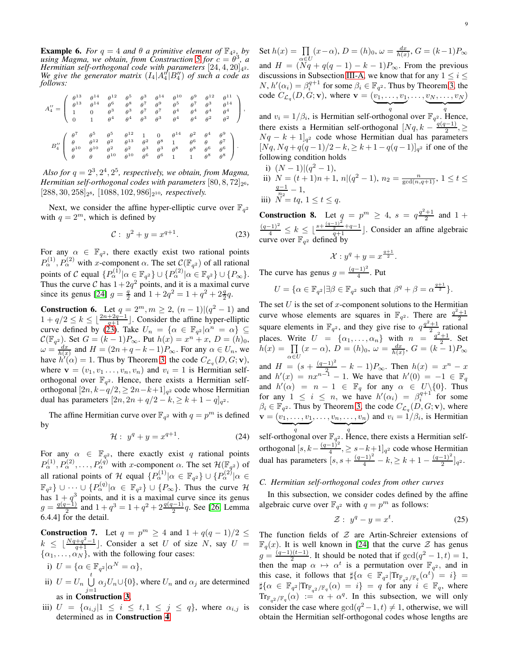<span id="page-8-2"></span>**Example 6.** For  $q = 4$  and  $\theta$  a primitive element of  $\mathbb{F}_{4^2}$ , by *using Magma, we obtain, from Construction* [5](#page-7-3) for  $c = \theta^3$ , *a Hermitian self-orthogonal code with parameters*  $[24, 4, 20]_{42}$ . We give the generator matrix  $(I_4 | A''_4 | B''_4)$  of such a code as *follows:*

|  |  |  |  |  | $A_4^{\prime\prime}=\left( \begin{array}{cccccccc} \theta^{13} & \theta^{14} & \theta^{12} & \theta^5 & \theta^3 & \theta^{14} & \theta^{10} & \theta^9 & \theta^{12} & \theta^{11} \\ \theta^{13} & \theta^{14} & \theta^6 & \theta^8 & \theta^7 & \theta^9 & \theta^5 & \theta^7 & \theta^3 & \theta^{14} \\ 1 & 0 & \theta^3 & \theta^3 & \theta^7 & \theta^7 & \theta^4 & \theta^4 & \theta^4 & \theta^4 \\ 0 & 1 & \theta^4 & \theta^4 & \theta^3 & \theta^3 & \theta^4 & \theta^$           |
|--|--|--|--|--|---------------------------------------------------------------------------------------------------------------------------------------------------------------------------------------------------------------------------------------------------------------------------------------------------------------------------------------------------------------------------------------------------------------------------------------------------------------------------------------------------|
|  |  |  |  |  | $B_4^{\prime\prime} \left( \begin{array}{cccccccc} \theta^7 & \theta^5 & \theta^5 & \theta^{12} & 1 & 0 & \theta^{14} & \theta^2 & \theta^4 & \theta^9 \\ \theta & \theta^{12} & \theta^2 & \theta^{13} & \theta^2 & \theta^8 & 1 & \theta^6 & \theta & \theta^7 \\ \theta^{10} & \theta^{10} & \theta^2 & \theta^2 & \theta^3 & \theta^3 & \theta^8 & \theta^8 & \theta^6 & \theta^6 \\ \theta & \theta & \theta^{10} & \theta^{10} & \theta^6 & \theta^6 & 1 & 1 & \theta^8 & \theta^8 \\ \end$ |

Also for  $q = 2^3, 2^4, 2^5$ , respectively, we obtain, from Magma, *Hermitian self-orthogonal codes with parameters*  $[80, 8, 72]_{2^6}$ ,  $[288, 30, 258]_{28}$ ,  $[1088, 102, 986]_{2^{10}}$ *, respectively.* 

Next, we consider the affine hyper-elliptic curve over  $\mathbb{F}_{q^2}$ with  $q = 2^m$ , which is defined by

<span id="page-8-0"></span>
$$
C: y^2 + y = x^{q+1}.
$$
 (23)

For any  $\alpha \in \mathbb{F}_{q^2}$ , there exactly exist two rational points  $P_{\alpha}^{(1)}$ ,  $P_{\alpha}^{(2)}$  with x-component  $\alpha$ . The set  $\mathcal{C}(\mathbb{F}_{q^2})$  of all rational points of C equal  $\{P_{\alpha}^{(1)} | \alpha \in \mathbb{F}_{q^2}\} \cup \{P_{\alpha}^{(2)} | \alpha \in \mathbb{F}_{q^2}\} \cup \{P_{\infty}\}.$ Thus the curve C has  $1+2q^2$  points, and it is a maximal curve since its genus [\[24\]](#page-12-14)  $g = \frac{q}{2}$  and  $1 + 2q^2 = 1 + q^2 + 2\frac{q}{2}q$ .

<span id="page-8-3"></span>**Construction 6.** Let  $q = 2^m, m \ge 2, (n-1)|(q^2 - 1)$  and  $1 + q/2 \le k \le \lfloor \frac{2n+2q-1}{q+1} \rfloor$ . Consider the affine hyper-elliptic curve defined by [\(23\)](#page-8-0). Take  $U_n = {\alpha \in \mathbb{F}_{q^2} | \alpha^n = \alpha}$  $\mathcal{C}(\mathbb{F}_{q^2})$ . Set  $G = (k-1)P_{\infty}$ . Put  $h(x) = x^n + x$ ,  $D = (h)_0$ ,  $\omega = \frac{dx}{h(x)}$  and  $H = (2n + q - k - 1)P_{\infty}$ . For any  $\alpha \in U_n$ , we have  $h'(\alpha) = 1$ . Thus by Theorem [3,](#page-3-4) the code  $C_{\mathcal{L}_q}(D, G; \mathbf{v})$ , where  $\mathbf{v} = (v_1, v_1, \dots, v_n, v_n)$  and  $v_i = 1$  is Hermitian selforthogonal over  $\mathbb{F}_{q^2}$ . Hence, there exists a Hermitian selforthogonal  $[2n, k-q/2, \ge 2n-k+1]_{q^2}$  code whose Hermitian dual has parameters  $[2n, 2n + q/2 - k, \ge k + 1 - q]_{q^2}$ .

The affine Hermitian curve over  $\mathbb{F}_{q^2}$  with  $q = p^m$  is defined by

$$
\mathcal{H}: y^q + y = x^{q+1}.\tag{24}
$$

For any  $\alpha \in \mathbb{F}_{q^2}$ , there exactly exist q rational points  $P_{\alpha}^{(1)}, P_{\alpha}^{(2)}, \ldots, P_{\alpha}^{(q)}$  with x-component  $\alpha$ . The set  $\mathcal{H}(\mathbb{F}_{q^2})$  of all rational points of H equal  $\{P_{\alpha}^{(1)} | \alpha \in \mathbb{F}_{q^2}\} \cup \{P_{\alpha}^{(2)} | \alpha \in \mathbb{F}_{q^2} \}$  $\mathbb{F}_{q^2}$   $\}$   $\cup \cdots$   $\cup$   $\{P_{\alpha}^{(q)} | \alpha \in \mathbb{F}_{q^2} \}$   $\cup$   $\{P_{\infty} \}$ . Thus the curve  $\mathcal{H}$ has  $1 + q<sup>3</sup>$  points, and it is a maximal curve since its genus  $g = \frac{q(q-1)}{2}$  $\frac{q^{(-1)}}{2}$  and  $1 + q^3 = 1 + q^2 + 2\frac{q(q-1)}{2}q$ . See [\[26,](#page-12-12) Lemma 6.4.4] for the detail.

<span id="page-8-4"></span>**Construction 7.** Let  $q = p^m \ge 4$  and  $1 + q(q - 1)/2 \le$  $k \leq \lfloor \frac{Nq+q^2-1}{q+1} \rfloor$ . Consider a set U of size N, say  $U =$  $\{\alpha_1, \dots, \alpha_N\}$ , with the following four cases:

$$
\text{i)}\ \ U=\{\alpha\in\mathbb{F}_{q^2}|\alpha^N=\alpha\},
$$

- ii)  $U = U_n \bigcup_{i=1}^{t}$  $\bigcup_{j=1} \alpha_j U_n \cup \{0\}$ , where  $U_n$  and  $\alpha_j$  are determined as in Construction [3](#page-6-2),
- iii)  $U = {\alpha_{i,j}}|1 \leq i \leq t, 1 \leq j \leq q$ , where  $\alpha_{i,j}$  is determined as in Construction [4](#page-6-3).

Set  $h(x) = \prod$  $\prod_{\alpha \in U} (x - \alpha), D = (h)_0, \omega = \frac{dx}{h(x)}, G = (k-1)P_{\infty}$ and  $H = (\widetilde{N}q + q(q-1) - k - 1)P_{\infty}$ . From the previous discussions in Subsection [III-A,](#page-4-4) we know that for any  $1 \leq i \leq$  $N, h'(\alpha_i) = \beta_i^{q+1}$  for some  $\beta_i \in \mathbb{F}_{q^2}$ . Thus by Theorem [3,](#page-3-4) the code  $C_{\mathcal{L}_q}(D,G;\mathbf{v})$ , where  $\mathbf{v} = (v_1,\ldots,v_1)$  $\overline{q}$  $, \ldots, v_N, \ldots, v_N$  $\overline{q}$ )

and  $v_i = 1/\beta_i$ , is Hermitian self-orthogonal over  $\mathbb{F}_{q^2}$ . Hence, there exists a Hermitian self-orthogonal  $[Nq, k - \frac{q(q-1)}{2}]$  $\frac{-1}{2}, \geq$  $Nq - k + 1$ <sub>q</sub><sup>2</sup> code whose Hermitian dual has parameters  $[Nq, Nq + q(q-1)/2 - k] \ge k+1 - q(q-1)]_{q^2}$  if one of the following condition holds

i)  $(N-1)|(q^2-1),$ ii)  $N = (t+1)n + 1$ ,  $n|(q^2 - 1)$ ,  $n_2 = \frac{n}{\gcd(n,q+1)}$ ,  $1 \le t \le$ 

$$
\begin{array}{ll} \frac{q-1}{n_2} - 1, \\ \text{iii)} \ N = tq, \ 1 \le t \le q. \end{array}
$$

<span id="page-8-5"></span>**Construction 8.** Let  $q = p^m \ge 4$ ,  $s = q^{\frac{q^2+1}{2}}$  and  $1 +$  $\frac{(q-1)^2}{4}$  ≤  $k \leq \lfloor \frac{s+\frac{(q-1)^2}{2}+q-1}{q+1} \rfloor$ . Consider an affine algebraic curve over  $\mathbb{F}_{q^2}$  defined by

$$
\mathcal{X}: y^q + y = x^{\frac{q+1}{2}}.
$$

The curve has genus  $g = \frac{(q-1)^2}{4}$  $\frac{-1)}{4}$ . Put

$$
U = \{ \alpha \in \mathbb{F}_{q^2} | \exists \beta \in \mathbb{F}_{q^2} \text{ such that } \beta^q + \beta = \alpha^{\frac{q+1}{2}} \}.
$$

The set U is the set of x-component solutions to the Hermitian curve whose elements are squares in  $\mathbb{F}_{q^2}$ . There are  $\frac{q^2+1}{2}$  square elements in  $\mathbb{F}_{q^2}$ , and they give rise to  $q\frac{q^2+1}{2}$  rational 2 places. Write  $U = \{\alpha_1, \dots, \alpha_n\}$  with  $n = \frac{q^2 + 1}{2}$ . Set  $h(x) = \prod$  $\prod_{\alpha \in U} (x - \alpha), D = (h)_0, \ \omega = \frac{dx}{h(x)}, G = (k-1)P_{\infty}$ and  $H = (s + \frac{(q-1)^2}{2} - k - 1)P_{\infty}$ . Then  $h(x) = x^n - x$ and  $h'(x) = nx^{n-1} - 1$ . We have that  $h'(0) = -1 \in \mathbb{F}_q$ and  $h'(\alpha) = n - 1 \in \mathbb{F}_q$  for any  $\alpha \in U \setminus \{0\}$ . Thus for any  $1 \leq i \leq n$ , we have  $h'(\alpha_i) = \beta_i^{q+1}$  for some  $\beta_i \in \mathbb{F}_{q^2}$ . Thus by Theorem [3,](#page-3-4) the code  $C_{\mathcal{L}_q}(D, G; \mathbf{v})$ , where  $\mathbf{v} = (v_1, \dots, v_1, \dots, v_n, \dots, v_n)$  and  $v_i = 1/\beta_i$ , is Hermitian self-orthogonal over  $\mathbb{F}_{q^2}$ . Hence, there exists a Hermitian self-

orthogonal  $[s, k - \frac{(q-1)^2}{4}]$  $\frac{(-1)}{4}$ ,  $\geq s-k+1$ ]<sub>q</sub><sup>2</sup> code whose Hermitian dual has parameters  $\left[ s, s + \frac{(q-1)^2}{4} - k, \geq k + 1 - \frac{(q-1)^2}{2} \right]$  $\frac{(-1)}{2}$ ]<sub>q</sub>2.

## *C. Hermitian self-orthogonal codes from other curves*

In this subsection, we consider codes defined by the affine algebraic curve over  $\mathbb{F}_{q^2}$  with  $q = p^m$  as follows:

<span id="page-8-1"></span>
$$
\mathcal{Z}: y^q - y = x^t. \tag{25}
$$

The function fields of  $Z$  are Artin-Schreier extensions of  $\mathbb{F}_q(x)$ . It is well known in [\[24\]](#page-12-14) that the curve  $\mathcal Z$  has genus  $g = \frac{(q-1)(t-1)}{2}$  $\frac{2(t-1)}{2}$ . It should be noted that if  $gcd(q^2 - 1, t) = 1$ , then the map  $\alpha \mapsto \alpha^t$  is a permutation over  $\mathbb{F}_{q^2}$ , and in this case, it follows that  $\sharp \{ \alpha \in \mathbb{F}_{q^2} | \text{Tr}_{\mathbb{F}_{q^2}/\mathbb{F}_q}(\alpha^t) = i \} =$  $\sharp \{\alpha \in \mathbb{F}_{q^2} | \text{Tr}_{\mathbb{F}_{q^2}/\mathbb{F}_q}(\alpha) = i \} = q$  for any  $i \in \mathbb{F}_q$ , where  $\text{Tr}_{\mathbb{F}_{q^2}/\mathbb{F}_q}(\alpha) := \alpha + \alpha^q$ . In this subsection, we will only consider the case where  $gcd(q^2-1, t) \neq 1$ , otherwise, we will obtain the Hermitian self-orthogonal codes whose lengths are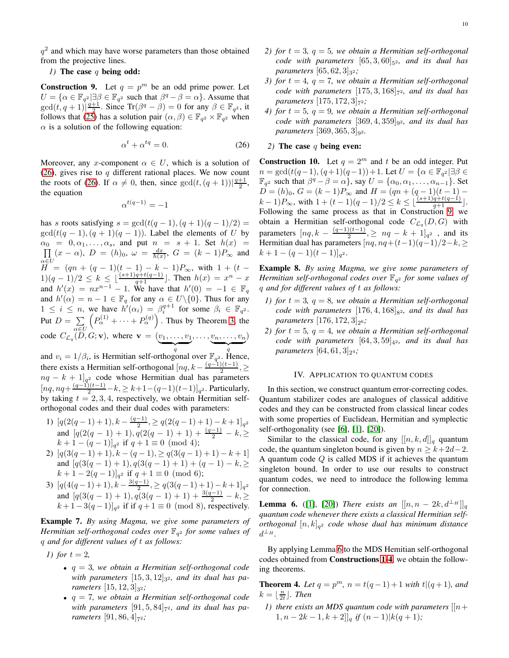$q<sup>2</sup>$  and which may have worse parameters than those obtained from the projective lines.

# *1*) The case q being odd:

<span id="page-9-2"></span>**Construction 9.** Let  $q = p^m$  be an odd prime power. Let  $U = \{ \alpha \in \mathbb{F}_{q^2} | \exists \beta \in \mathbb{F}_{q^2} \text{ such that } \beta^q - \beta = \alpha \}.$  Assume that  $gcd(t, q+1)|\frac{q+1}{2}$ . Since  $Tr(\beta^q - \beta) = 0$  for any  $\beta \in \mathbb{F}_{q^2}$ , it follows that [\(25\)](#page-8-1) has a solution pair  $(\alpha, \beta) \in \mathbb{F}_{q^2} \times \mathbb{F}_{q^2}$  when  $\alpha$  is a solution of the following equation:

<span id="page-9-1"></span>
$$
\alpha^t + \alpha^{tq} = 0. \tag{26}
$$

Moreover, any x-component  $\alpha \in U$ , which is a solution of [\(26\)](#page-9-1), gives rise to  $q$  different rational places. We now count the roots of [\(26\)](#page-9-1). If  $\alpha \neq 0$ , then, since  $gcd(t, (q + 1))|\frac{q+1}{2}$ , the equation

$$
\alpha^{t(q-1)} = -1
$$

has s roots satisfying  $s = \gcd(t(q-1), (q+1)(q-1)/2) =$  $gcd(t(q-1), (q+1)(q-1))$ . Label the elements of U by α  $\Pi$  $0_0 = 0, \alpha_1, \ldots, \alpha_s$ , and put  $n = s + 1$ . Set  $h(x) =$  $H = (qn + (q - 1)(t - 1) - k - 1)P_{\infty}$ , with  $1 + (t (x - \alpha)$ ,  $D = (h)_0$ ,  $\omega = \frac{dx}{h(x)}$ ,  $G = (k - 1)P_{\infty}$  and  $1)(q-1)/2 \leq k \leq \lfloor \frac{(s+1)q+t(q-1)}{q+1} \rfloor$ . Then  $h(x) = x^n - x$ and  $h'(x) = nx^{n-1} - 1$ . We have that  $h'(0) = -1 \in \mathbb{F}_q$ and  $h'(\alpha) = n - 1 \in \mathbb{F}_q$  for any  $\alpha \in U \setminus \{0\}$ . Thus for any  $1 \leq i \leq n$ , we have  $\hat{h}'(\alpha_i) = \beta_i^{q+1}$  for some  $\beta_i \in \mathbb{F}_{q^2}$ . Put  $D = \sum$  $\alpha{\in}U$  $\left(P_{\alpha}^{(1)} + \cdots + P_{\alpha}^{(q)}\right)$ . Thus by Theorem [3,](#page-3-4) the code  $C_{\mathcal{L}_q}(D,G;\mathbf{v})$ , where  $\mathbf{v} = (v_1,\ldots,v_1)$  $\overline{q}$  $, \ldots, v_n, \ldots, v_n$  $\overline{q}$ )

and  $v_i = 1/\beta_i$ , is Hermitian self-orthogonal over  $\mathbb{F}_{q^2}$ . Hence, there exists a Hermitian self-orthogonal  $[nq, k - \frac{(q-1)(t-1)}{2}]$  $\frac{j(i-1)}{2}, \geq$  $nq - k + 1$ <sub>q<sup>2</sup></sub> code whose Hermitian dual has parameters  $[nq, nq + \frac{(q-1)(t-1)}{2} - k, \ge k+1-(q-1)(t-1)]_{q^2}$ . Particularly, by taking  $t = 2, 3, 4$ , respectively, we obtain Hermitian selforthogonal codes and their dual codes with parameters:

- 1)  $[q(2(q-1)+1), k \frac{(q-1)}{2}]$  $[q(2(q-1)+1), k-\frac{(q-1)}{2}, \geq q(2(q-1)+1)-k+1]_{q^2}$ <br>and  $[q(2(q-1)+1), q(2(q-1)+1)+\frac{(q-1)}{2}-k, \geq$  $(k+1-(q-1)]_{q^2}$  if  $q+1 \equiv 0 \pmod{4}$ ;
- 2)  $[q(3(q-1)+1), k (q-1), > q(3(q-1)+1) k + 1]$ and  $[q(3(q-1)+1), q(3(q-1)+1) + (q-1) - k]$  $(k+1-2(q-1)]_{q^2}$  if  $q+1 \equiv 0 \pmod{6};$
- 3)  $[q(4(q-1)+1), k-\frac{3(q-1)}{2}]$  $[q(4(q-1)+1), k-\frac{3(q-1)}{2}, \geq q(3(q-1)+1)-k+1]_{q^2}$ <br>and  $[q(3(q-1)+1), q(3(q-1)+1)+\frac{3(q-1)}{2}-k, \geq$  $(k+1-3(q-1)]_{q^2}$  if if  $q+1 \equiv 0 \pmod{8}$ , respectively.

Example 7. *By using Magma, we give some parameters of Hermitian self-orthogonal codes over* F<sup>q</sup> <sup>2</sup> *for some values of* q *and for different values of* t *as follows:*

*1)* for  $t = 2$ ,

- q = 3*, we obtain a Hermitian self-orthogonal code* with parameters  $[15,3,12]_{3^2}$ , and its dual has pa*rameters*  $[15, 12, 3]_{3^2}$ ;
- q = 7*, we obtain a Hermitian self-orthogonal code*  $with$  parameters  $[91, 5, 84]_{7^2}$ , and its dual has pa*rameters*  $[91, 86, 4]_{7^2}$ ;
- *2) for*  $t = 3$ ,  $q = 5$ , we obtain a Hermitian self-orthogonal  $code$  with parameters  $[65, 3, 60]_{5^2}$ , and its dual has
- *parameters* [65, 62, 3]<sub>32</sub>; *3) for*  $t = 4$ ,  $q = 7$ , we obtain a Hermitian self-orthogonal code with parameters  $[175, 3, 168]_{7^2}$ , and its dual has *parameters*  $[175, 172, 3]$ <sub>72</sub>;
- *4)* for  $t = 5$ ,  $q = 9$ , we obtain a Hermitian self-orthogonal *code with parameters*  $[369, 4, 359]_{92}$ *, and its dual has parameters* [369, 365, 3]<sub>92</sub>.

## *2)* The case q being even:

<span id="page-9-5"></span>**Construction 10.** Let  $q = 2^m$  and t be an odd integer. Put  $n = \gcd(t(q-1), (q+1)(q-1)) + 1$ . Let  $U = \{ \alpha \in \mathbb{F}_{q^2} | \exists \beta \in \mathbb{R} \}$  $\mathbb{F}_{q^2}$  such that  $\beta^q - \beta = \alpha$ , say  $U = {\alpha_0, \alpha_1, \dots, \alpha_{n-1}}$ . Set  $D = (h)_0, G = (k-1)P_\infty$  and  $H = (qn + (q-1)(t-1) (k-1)P_{\infty}$ , with  $1 + (t-1)(q-1)/2 \leq k \leq \lfloor \frac{(s+1)q+t(q-1)}{q+1} \rfloor$ . Following the same process as that in Construction [9,](#page-9-2) we obtain a Hermitian self-orthogonal code  $C_{\mathcal{L}_q}(D, G)$  with parameters  $[nq, k - \frac{(q-1)(t-1)}{2}]$  $\frac{2(n-1)}{2}, \geq nq-k+1$ <sub>q<sup>2</sup></sup>, and its</sub> Hermitian dual has parameters  $[nq, nq+(t-1)(q-1)/2-k]$  $k+1-(q-1)(t-1)]_{q^2}.$ 

Example 8. *By using Magma, we give some parameters of Hermitian self-orthogonal codes over* F<sup>q</sup> <sup>2</sup> *for some values of* q *and for different values of* t *as follows:*

- *1) for*  $t = 3$ ,  $q = 8$ , we obtain a Hermitian self-orthogonal  $code$  with parameters  $[176, 4, 168]_{8^2}$ , and its dual has *parameters*  $[176, 172, 3]_{2^6}$ ;
- *2)* for  $t = 5$ ,  $q = 4$ , we obtain a Hermitian self-orthogonal *code with parameters*  $[64, 3, 59]_{4^2}$ *, and its dual has*  $parameters [64, 61, 3]_{2^4}$ ;

## IV. APPLICATION TO QUANTUM CODES

<span id="page-9-0"></span>In this section, we construct quantum error-correcting codes. Quantum stabilizer codes are analogues of classical additive codes and they can be constructed from classical linear codes with some properties of Euclidean, Hermitian and symplectic self-orthogonality (see [6], [1], [20]).

Similar to the classical code, for any  $[[n, k, d]]_q$  quantum code, the quantum singleton bound is given by  $n > k+2d-2$ . A quantum code  $Q$  is called MDS if it achieves the quantum singleton bound. In order to use our results to construct quantum codes, we need to introduce the following lemma for connection.

<span id="page-9-3"></span>**Lemma 6.** ([1], [20]) *There exists an*  $[[n, n-2k, d^{\perp_H}]]_q$ *quantum code whenever there exists a classical Hermitian selforthogonal* [n, k]<sup>q</sup> <sup>2</sup> *code whose dual has minimum distance*  $d^{\perp_H}$ .

By applying Lemma [6](#page-9-3) to the MDS Hemitian self-orthogonal codes obtained from Constructions [1-](#page-4-3)[4](#page-6-3), we obtain the following theorems.

<span id="page-9-4"></span>**Theorem 4.** Let  $q = p^m$ ,  $n = t(q-1) + 1$  *with*  $t|(q+1)$ *, and*  $k = \lfloor \frac{n}{2t} \rfloor$ . Then

*1)* there exists an MDS quantum code with parameters  $[|n+1\rangle]$  $1, n - 2k - 1, k + 2$ ,  $|q|$  *if*  $(n - 1)$ ,  $|k(q + 1)|$ ;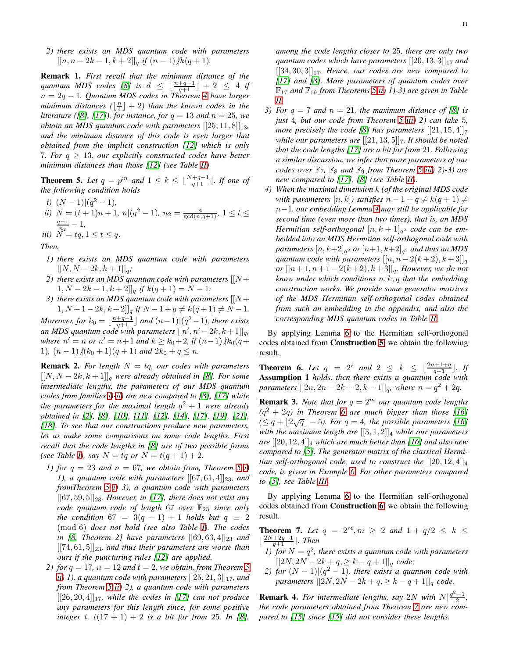*2) there exists an MDS quantum code with parameters*  $[[n, n-2k-1, k+2]]$ <sub>a</sub> if  $(n-1)$  |k(q + 1)*.* 

Remark 1. *First recall that the minimum distance of the quantum MDS codes* [\[8\]](#page-12-10) *is*  $d \leq \lfloor \frac{n+q-1}{q+1} \rfloor + 2 \leq 4$  *if* n = 2q − 1*. Quantum MDS codes in Theorem [4](#page-9-4) have larger*  $minimum$  distances  $(\lfloor \frac{n}{4} \rfloor + 2)$  than the known codes in the *literature* ([\[8\]](#page-12-10), [\[17\]](#page-12-3)), for instance, for  $q = 13$  and  $n = 25$ , we *obtain an MDS quantum code with parameters*  $[[25, 11, 8]]_{13}$ , *and the minimum distance of this code is even larger that obtained from the implicit construction [\[12\]](#page-12-8) which is only* 7*. For*  $q \geq 13$ *, our explicitly constructed codes have better minimum distances than those [\[12\]](#page-12-8) (see Table [II\)](#page-11-1)*

<span id="page-10-2"></span>**Theorem 5.** Let  $q = p^m$  and  $1 \leq k \leq \lfloor \frac{N+q-1}{q+1} \rfloor$ . If one of *the following condition holds*

- <span id="page-10-1"></span><span id="page-10-0"></span>*i*)  $(N-1)|(q^2-1)$ ,
- <span id="page-10-3"></span>*ii*)  $N = (t+1)n + 1$ *,*  $n|(q^2-1)$ *,*  $n_2 = \frac{n}{\gcd(n,q+1)}$ *,*  $1 \le t \le$  $q-1$  $\frac{n-1}{n_2}-1,$ *iii*)  $N = tq, 1 \le t \le q$ .

*Then,*

- *1) there exists an MDS quantum code with parameters*  $[[N, N - 2k, k+1]]_q;$
- 2) there exists an MDS quantum code with parameters  $[|N +$  $1, N - 2k - 1, k + 2$ ]]<sub>*q*</sub> if  $k(q + 1) = N - 1$ ;
- *3) there exists an MDS quantum code with parameters*  $[|N +$  $1, N+1-2k, k+2$ ]]<sub>q</sub> if  $N-1+q \neq k(q+1) \neq N-1$ .

*Moreover, for*  $k_0 = \lfloor \frac{n+q-1}{q+1} \rfloor$  and  $(n-1)|(q^2-1)$ *, there exists an MDS quantum code with parameters*  $[[n', n'-2k, k+1]]_q$ , *where*  $n' = n$  *or*  $n' = n + 1$  *and*  $k \ge k_0 + 2$ *, if*  $(n-1)$   $/k_0(q+1)$ 1),  $(n-1)/(k_0+1)(q+1)$  *and*  $2k_0+q \leq n$ .

**Remark 2.** For length  $N = tq$ , our codes with parameters  $[[N, N-2k, k+1]]$ <sub>a</sub> were already obtained in [\[8\]](#page-12-10). For some *intermediate lengths, the parameters of our MDS quantum codes from families [i\)](#page-10-0)[-ii\)](#page-10-1) are new compared to [\[8\]](#page-12-10), [\[17\]](#page-12-3) while the parameters for the maximal length* q <sup>2</sup> + 1 *were already obtained in [\[2\]](#page-11-2), [\[8\]](#page-12-10), [\[10\]](#page-12-4), [11], [\[12\]](#page-12-8), [\[14\]](#page-12-5), [\[17\]](#page-12-3), [\[19\]](#page-12-6), [21], [\[18\]](#page-12-7). To see that our constructions produce new parameters, let us make some comparisons on some code lengths. First recall that the code lengths in [\[8\]](#page-12-10) are of two possible forms (see Table [I\)](#page-1-0), say*  $N = tq$  *or*  $N = t(q + 1) + 2$ *.* 

- *1) for*  $q = 23$  *and*  $n = 67$ *, we obtain from, Theorem* [5](#page-10-2) *i*) *1*), a quantum code with parameters  $[[67, 61, 4]]_{23}$ , and *fromTheorem [5](#page-10-2) [i\)](#page-10-0) 3), a quantum code with parameters*  $[[67, 59, 5]]_{23}$ *. However, in* [\[17\]](#page-12-3)*, there does not exist any code quantum code of length* 67 *over*  $\mathbb{F}_{23}$  *since only the condition*  $67 = 3(q - 1) + 1$  *holds but*  $q \equiv 2$ (mod 6) *does not hold (see also Table [I\)](#page-1-0). The codes in* [\[8,](#page-12-10) Theorem 2] have parameters  $\begin{bmatrix} 69,63,4 \end{bmatrix}$ <sub>23</sub> and  $[[74, 61, 5]]_{23}$ , and thus their parameters are worse than *ours if the puncturing rules [\[12\]](#page-12-8) are applied.*
- *2)* for  $q = 17$ ,  $n = 12$  and  $t = 2$ , we obtain, from Theorem [5](#page-10-2) *ii*) 1), a quantum code with parameters  $[[25, 21, 3]]_{17}$ , and *from Theorem [5](#page-10-2) [ii\)](#page-10-1) 2), a quantum code with parameters*  $[[26, 20, 4]]_{17}$ *, while the codes in [\[17\]](#page-12-3) can not produce any parameters for this length since, for some positive integer* t,  $t(17 + 1) + 2$  *is a bit far from* 25*. In* [\[8\]](#page-12-10),

*among the code lengths closer to* 25*, there are only two quantum codes which have parameters*  $[[20, 13, 3]]_{17}$  *and*  $[[34, 30, 3]]_{17}$ . Hence, our codes are new compared to *[\[17\]](#page-12-3) and [\[8\]](#page-12-10). More parameters of quantum codes over* F<sup>17</sup> *and* F<sup>19</sup> *from Theorems [5](#page-10-2) [ii\)](#page-10-1) 1)-3) are given in Table [II.](#page-11-1)*

- *3) For*  $q = 7$  *and*  $n = 21$ *, the maximum distance of* [\[8\]](#page-12-10) *is just* 4*, but our code from Theorem [5](#page-10-2) [iii\)](#page-10-3) 2) can take* 5*, more precisely the code* [\[8\]](#page-12-10) has parameters  $[[21, 15, 4]]_7$ *while our parameters are*  $[[21, 13, 5]]_7$ *. It should be noted that the code lengths [\[17\]](#page-12-3) are a bit far from* 21*. Following a similar discussion, we infer that more parameters of our codes over*  $\mathbb{F}_7$ ,  $\mathbb{F}_8$  *and*  $\mathbb{F}_9$  *from Theorem [5](#page-10-2) [iii\)](#page-10-3)* 2)-3) *are new compared to [\[17\]](#page-12-3), [\[8\]](#page-12-10) (see Table [II\)](#page-11-1).*
- *4) When the maximal dimension* k *(of the original MDS code with parameters*  $[n, k]$ *) satisfies*  $n - 1 + q \neq k(q + 1) \neq$ n−1*, our embedding Lemma [4](#page-3-5) may still be applicable for second time (even more than two times), that is, an MDS*  $H$ ermitian self-orthogonal  $[n, k+1]_{q^2}$  code can be em*bedded into an MDS Hermitian self-orthogonal code with* parameters  $[n,k{+}2]_{q^2}$  or  $[n{+}1,k{+}2]_{q^2}$  and thus an MDS *quantum code with parameters*  $[[n, n - 2(k+2), k+3]]_q$ *or*  $[[n+1, n+1-2(k+2), k+3]]_q$ *. However, we do not know under which conditions* n, k, q *that the embedding construction works. We provide some generator matrices of the MDS Hermitian self-orthogonal codes obtained from such an embedding in the appendix, and also the corresponding MDS quantum codes in Table [II.](#page-11-1)*

By applying Lemma [6](#page-9-3) to the Hermitian self-orthogonal codes obtained from Construction [5](#page-7-3), we obtain the following result.

<span id="page-10-4"></span>**Theorem 6.** Let  $q = 2^s$  and  $2 \leq k \leq \lfloor \frac{2n+1+q}{q+1} \rfloor$ . If Assumption 1 *holds, then there exists a quantum code with parameters*  $[[2n, 2n - 2k + 2, k - 1]]_q$ *, where*  $n = q^2 + 2q$ *.* 

**Remark 3.** *Note that for*  $q = 2^m$  *our quantum code lengths (*q <sup>2</sup> + 2q*) in Theorem [6](#page-10-4) are much bigger than those [\[16\]](#page-12-15)*  $(≤ q + [2√q] - 5)$ . For  $q = 4$ , the possible parameters [\[16\]](#page-12-15) *with the maximum length are*  $[[3,1,2]]_4$  *while our parameters*  $\int$  *are*  $[[20, 12, 4]]$ <sub>4</sub> which are much better than [\[16\]](#page-12-15) and also new *compared to [\[5\]](#page-11-0). The generator matrix of the classical Hermitian self-orthogonal code, used to construct the*  $[[20, 12, 4]]_4$ *code, is given in Example [6.](#page-8-2) For other parameters compared to [\[5\]](#page-11-0), see Table [III.](#page-12-16)*

By applying Lemma [6](#page-9-3) to the Hermitian self-orthogonal codes obtained from Construction [6](#page-8-3), we obtain the following result.

<span id="page-10-5"></span>**Theorem 7.** Let  $q = 2^m, m \ge 2$  and  $1 + q/2 \le k \le$  $\lfloor \frac{2N+2q-1}{q+1} \rfloor$ *. Then* 

- *1*) for  $N = q^2$ , there exists a quantum code with parameters  $[[2N, 2N - 2k + q, \geq k - q + 1]]_q$  *code*;
- *2) for*  $(N-1)|(q^2-1)$ *, there exists a quantum code with parameters*  $[[2N, 2N - 2k + q] \ge k - q + 1]_q$  *code.*

**Remark 4.** For intermediate lengths, say 2N with  $N\left|\frac{q^2-1}{2},\right|$ *the code parameters obtained from Theorem [7](#page-10-5) are new compared to [\[15\]](#page-12-11) since [\[15\]](#page-12-11) did not consider these lengths.*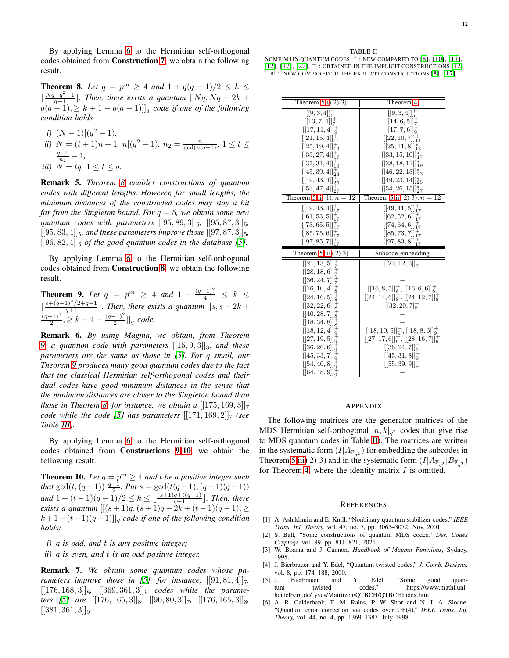By applying Lemma [6](#page-9-3) to the Hermitian self-orthogonal codes obtained from Construction [7](#page-8-4), we obtain the following result.

<span id="page-11-3"></span>**Theorem 8.** Let  $q = p^m \ge 4$  and  $1 + q(q - 1)/2 \le k \le$ ⌊  $\frac{Nq+q^2-1}{q+1}$ ]. Then, there exists a quantum  $[[Nq, Nq-2k+1]$  $q(q-1), \geq k+1-q(q-1)$ ]]<sub>q</sub> code if one of the following *condition holds*

*i)* 
$$
(N-1)|(q^2 - 1)
$$
,  
\n*ii)*  $N = (t + 1)n + 1$ ,  $n|(q^2 - 1)$ ,  $n_2 = \frac{n}{\gcd(n, q+1)}$ ,  $1 \le t \le \frac{q-1}{n_2} - 1$ ,  
\n*iii)*  $N = tq$ ,  $1 \le t \le q$ .

Remark 5. *Theorem [8](#page-11-3) enables constructions of quantum codes with different lengths. However, for small lengths, the minimum distances of the constructed codes may stay a bit far from the Singleton bound. For* q = 5*, we obtain some new quantum codes with parameters*  $[[95, 89, 3]]_5$ ,  $[[95, 87, 3]]_5$  $[[95, 83, 4]]_5$ *, and these parameters improve those*  $[[97, 87, 3]]_5$  $[[96, 82, 4]]$ <sub>5</sub> *of the good quantum codes in the database* [\[5\]](#page-11-0)*.* 

By applying Lemma [6](#page-9-3) to the Hermitian self-orthogonal codes obtained from Construction [8](#page-8-5), we obtain the following result.

<span id="page-11-4"></span>**Theorem 9.** Let  $q = p^m \ge 4$  and  $1 + \frac{(q-1)^2}{4} \le k \le$  $\lfloor \frac{s+(q-1)^2/2+q-1}{q+1} \rfloor$ . Then, there exists a quantum  $\lfloor [s, s-2k+q-1]^2 \rfloor$  $\frac{(-1)^2}{2}$ ,  $\geq k+1-\frac{(q-1)^2}{2}$  $\frac{[-1]}{2}$ ]<sub>q</sub> code.

Remark 6. *By using Magma, we obtain, from Theorem [9,](#page-11-4) a quantum code with parameters*  $[[15, 9, 3]]_3$ *, and these parameters are the same as those in [\[5\]](#page-11-0). For* q *small, our Theorem [9](#page-11-4) produces many good quantum codes due to the fact that the classical Hermitian self-orthogonal codes and their dual codes have good minimum distances in the sense that the minimum distances are closer to the Singleton bound than those in Theorem [8,](#page-11-3) for instance, we obtain a*  $[175, 169, 3]$ <sub>7</sub> *code while the code* [\[5\]](#page-11-0) has parameters  $[[171, 169, 2]]_7$  *(see Table [III\)](#page-12-16).*

By applying Lemma [6](#page-9-3) to the Hermitian self-orthogonal codes obtained from Constructions [9](#page-9-2)[-10](#page-9-5), we obtain the following result.

<span id="page-11-5"></span>**Theorem 10.** Let  $q = p^m \ge 4$  and t be a positive integer such *that*  $gcd(t, (q + 1))|\frac{q+1}{2}$ *. Put*  $s = gcd(t(q - 1), (q + 1)(q - 1))$ *and*  $1 + (t - 1)(q - 1)/2 \le k \le \lfloor \frac{(s+1)q+t(q-1)}{q+1} \rfloor$ . *Then, there exists a quantum*  $[(s+1)q, (s+1)q-2k+(t-1)(q-1)]$  $k+1-(t-1)(q-1)$ ]<sub>q</sub> code if one of the following condition *holds:*

*i)* q *is odd, and* t *is any positive integer;*

*ii)* q *is even, and* t *is an odd positive integer.*

Remark 7. *We obtain some quantum codes whose pa-rameters improve those in [\[5\]](#page-11-0), for instance,*  $[[91, 81, 4]]_7$ ,  $[176, 168, 3]$ <sub>8</sub>,  $[369, 361, 3]$ <sub>9</sub> *codes while the parameters* [\[5\]](#page-11-0) are  $[[176, 165, 3]]_8$ ,  $[[90, 80, 3]]_7$ ,  $[[176, 165, 3]]_8$  $[[381, 361, 3]]_9.$ 

## <span id="page-11-1"></span>TABLE II SOME MDS QUANTUM CODES,  $*$ : NEW COMPARED TO [\[8\]](#page-12-10), [\[10\]](#page-12-4), [11],

[\[12\]](#page-12-8), [\[17\]](#page-12-3),  $[22]$ ,  $^+$ : Obtained in the implicit constructions [12] BUT NEW COMPARED TO THE EXPLICIT CONSTRUCTIONS [\[8\]](#page-12-10), [\[17\]](#page-12-3)

| Theorem $5 \overline{1}$ (2)-3)                                                                                                                                                                                                                                                             | Theorem 4                                                                                                                                                                                                                                                                             |
|---------------------------------------------------------------------------------------------------------------------------------------------------------------------------------------------------------------------------------------------------------------------------------------------|---------------------------------------------------------------------------------------------------------------------------------------------------------------------------------------------------------------------------------------------------------------------------------------|
| $[[9,3,4]]^+$<br>[[13, 7, 4]]<br>$[[17, 11, 4]]_{0}^{+}$<br>$[[21, 15, 4]]_{11}^+$<br>$[[25, 19, 4]]_{12}^+$<br>$[[33, 27, 4]]_{17}^{+}$<br>$[[37, 31, 4]]_{19}^{+}$<br>$[[45, 39, 4]]_{23}^{+}$<br>$[[49, 43, 4]]_{25}^{+}$<br>$[[53, 47, 4]]_{27}^{+}$                                    | $[[9,3,4]]^+$<br>$[[14, 6, 5]]^+$<br>$[[17, 7, 6]]^+_{0}$<br>$[[22, 10, 7]]_{11}^+$<br>$[[25, 11, 8]]_{13}^*$<br>$[[33, 15, 10]]_{17}^*$<br>$[[38, 18, 11]]_{19}^*$<br>$[[46, 22, 13]]_{23}^*$<br>$[[49, 23, 14]]_{25}^*$<br>$[[54, 26, 15]]_{27}^*$                                  |
| Theorem 5 ii) $1$ , $n = 12$                                                                                                                                                                                                                                                                | Theorem 5 ii) 2)-3), $n = 12$                                                                                                                                                                                                                                                         |
| $[[49, 43, 4]]_{17}^{+}$<br>$[[61, 53, 5]]_{17}^{+}$<br>$[[73, 65, 5]]_{17}^{+}$<br>$[[85, 75, 6]]_{17}^{+}$<br>$[[97, 85, 7]]_{17}^{+}$                                                                                                                                                    | $\overline{[[49, 41, 5]]_{17}^+}$<br>$[[62, 52, 6]]_{17}^{+}$<br>$[[74, 64, 6]]_{17}^{+}$<br>$[[85, 73, 7]]_{17}^{+}$<br>$[[97, 83, 8]]_{17}^{+}$                                                                                                                                     |
| Theorem $5$ iii) $2$ )-3)                                                                                                                                                                                                                                                                   | Subcode embedding                                                                                                                                                                                                                                                                     |
| $[[21, 13, 5]]^+$<br>[[28, 18, 6]]<br>$[[36, 24, 7]]^+$<br>$[[16, 10, 4]]^+$<br>$[[24, 16, 5]]^+$<br>$[[32, 22, 6]]^+_{8}$<br>[[40, 28, 7]]<br>$[[48, 34, 8]]^+_{\rm s}$<br>$[[18, 12, 4]]^+_{\alpha}$<br>[[27, 19, 5]]<br>[[36, 26, 6]]<br>[[45, 33, 7]] <sub>0</sub><br>$[[54, 40, 8]]0+$ | $[[22, 12, 6]]^+$<br>$[[16,8,5]]^+_{8},[[16,6,6]]^+_{8}$<br>$[[24, 14, 6]]^+_{8}$ , $[[24, 12, 7]]^+_{8}$<br>$[32, 20, 7]^+$<br>$[[18, 10, 5]]9+, [[18, 8, 6]]9+$<br>$[[27, 17, 6]]_9^+$ , $[[28, 16, 7]]_9^+$<br>$[[36, 24, 7]]9+$<br>[[45, 31, 8]] <sub>9</sub><br>$[[55, 39, 9]]+$ |

## APPENDIX

The following matrices are the generator matrices of the MDS Hermitian self-orthogonal  $[n, k]_{q^2}$  codes that give rise to MDS quantum codes in Table [II\)](#page-11-1). The matrices are written in the systematic form  $(I|A_{\mathbb{F}_{q^2}})$  for embedding the subcodes in Theorem [5](#page-10-2) [iii\)](#page-10-3) 2)-3) and in the systematic form  $(I|A_{\mathbb{F}_{q^2}}|B_{\mathbb{F}_{q^2}})$ for Theorem [4,](#page-9-4) where the identity matrix  $I$  is omitted.

#### **REFERENCES**

- [1] A. Ashikhmin and E. Knill, "Nonbinary quantum stabilizer codes," *IEEE Trans. Inf. Theory,* vol. 47, no. 7, pp. 3065–3072, Nov. 2001.
- <span id="page-11-2"></span>[2] S. Ball, "Some constructions of quantum MDS codes," *Des. Codes Cryptogr.* vol. 89, pp. 811–821, 2021.
- [3] W. Bosma and J. Cannon, *Handbook of Magma Functions*, Sydney, 1995.
- [4] J. Bierbrauer and Y. Edel, "Quantum twisted codes," *J. Comb. Designs,* vol. 8, pp. 174–188, 2000.
- <span id="page-11-0"></span>[5] J. Bierbrauer and Y. Edel, "Some good quantum twisted codes," https://www.mathi.uniheidelberg.de/ yves/Matritzen/QTBCH/QTBCHIndex.html
- [6] A. R. Calderbank, E. M. Rains, P. W. Shor and N. J. A. Sloane, "Quantum error correction via codes over GF(4)," *IEEE Trans. Inf. Theory,* vol. 44, no. 4, pp. 1369–1387, July 1998.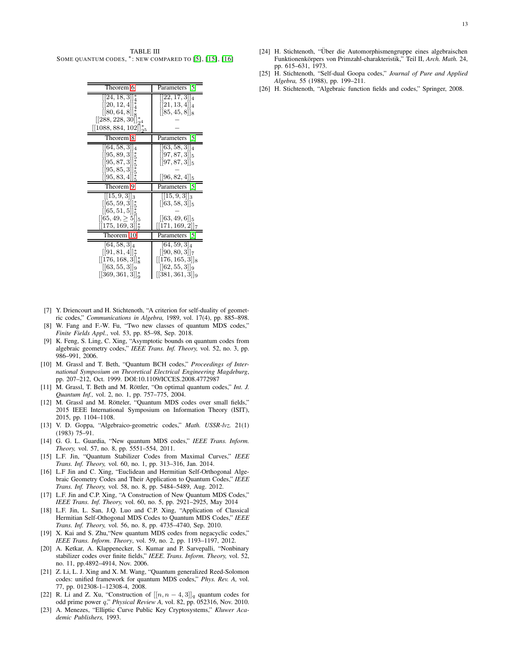<span id="page-12-16"></span>TABLE III SOME QUANTUM CODES,  $*$ : NEW COMPARED TO [\[5\]](#page-11-0), [\[15\]](#page-12-11), [\[16\]](#page-12-15)

| Theorem 6                                                                                                                                 | Parameters<br>51                                                                                     |
|-------------------------------------------------------------------------------------------------------------------------------------------|------------------------------------------------------------------------------------------------------|
| $\vert\vert 24, 18, 3 \vert\vert_4^*$<br>$[[20, 12, 4]]_4^*$<br>[[80, 64, 8]]<br>$[[288, 228, 30]]_{24}^*$<br>$[[1088, 884, 102]]_{25}^*$ | $\vert \vert 22, 17, 3 \vert \vert_4$<br>$[[21, 13, 4]]_4$<br>$[[85, 45, 8]]_8$                      |
| Theorem 8                                                                                                                                 | 51<br>Parameters                                                                                     |
| $[[64, 58, 3]]_4$<br>$[[95, 89, 3]]_5^*$<br>[[95, 87, 3]]<br>[[95, 85, 3]]<br>[[95, 83, 4]]                                               | $[[63, 58, 3]]_4$<br>$[[97, 87, 3]]_5$<br>$[[97, 87, 3] _5$<br>$[[96, 82, 4]]_5$                     |
| Theorem 9                                                                                                                                 | Parameters<br>15                                                                                     |
| $[15, 9, 3]$ <sub>3</sub><br>[[65, 59, 3]]<br>[[65, 51, 5]]<br>$[$ [65, 49, $\geq 5$ ][5<br>$[[175, 169, 3]]^*_{7}$                       | $[[15, 9, 3]]_3$<br>$[[63, 58, 3]]_5$<br>$[[63, 49, 6]]_5$<br>$\vert\vert 171, 169, 2 \vert\vert_7$  |
| Theorem 10                                                                                                                                | Parameters<br>151                                                                                    |
| $[64, 58, 3]_4$<br>$[[91, 81, 4]]_{7}^{*}$<br>[[176, 168, 3]]<br>$[[63, 55, 3]]_9$<br>[[369, 361, 3]]                                     | $[64, 59, 3]_4$<br>$[[90, 80, 3]]_7$<br>$[[176, 165, 3]]_8$<br>[[62, 55, 3]]9<br>$[[381, 361, 3]]_9$ |

- <span id="page-12-2"></span>[7] Y. Driencourt and H. Stichtenoth, "A criterion for self-duality of geometric codes," *Communications in Algebra,* 1989, vol. 17(4), pp. 885–898.
- <span id="page-12-10"></span>[8] W. Fang and F.-W. Fu, "Two new classes of quantum MDS codes," *Finite Fields Appl.*, vol. 53, pp. 85–98, Sep. 2018.
- <span id="page-12-9"></span>[9] K. Feng, S. Ling, C. Xing, "Asymptotic bounds on quantum codes from algebraic geometry codes," *IEEE Trans. Inf. Theory,* vol. 52, no. 3, pp. 986–991, 2006.
- <span id="page-12-4"></span>[10] M. Grassl and T. Beth, "Quantum BCH codes," *Proceedings of International Symposium on Theoretical Electrical Engineering Magdeburg*, pp. 207–212, Oct. 1999. DOI:10.1109/ICCES.2008.4772987
- [11] M. Grassl, T. Beth and M. Röttler, "On optimal quantum codes," Int. J. *Quantum Inf.,* vol. 2, no. 1, pp. 757–775, 2004.
- <span id="page-12-8"></span>[12] M. Grassl and M. Rötteler, "Quantum MDS codes over small fields," 2015 IEEE International Symposium on Information Theory (ISIT), 2015, pp. 1104–1108.
- <span id="page-12-0"></span>[13] V. D. Goppa, "Algebraico-geometric codes," *Math. USSR-lvz.* 21(1) (1983) 75–91.
- <span id="page-12-5"></span>[14] G. G. L. Guardia, "New quantum MDS codes," *IEEE Trans. Inform. Theory,* vol. 57, no. 8, pp. 5551–554, 2011.
- <span id="page-12-11"></span>[15] L.F. Jin, "Quantum Stabilizer Codes from Maximal Curves," *IEEE Trans. Inf. Theory,* vol. 60, no. 1, pp. 313–316, Jan. 2014.
- <span id="page-12-15"></span>[16] L.F Jin and C. Xing, "Euclidean and Hermitian Self-Orthogonal Algebraic Geometry Codes and Their Application to Quantum Codes," *IEEE Trans. Inf. Theory,* vol. 58, no. 8, pp. 5484–5489, Aug. 2012.
- <span id="page-12-3"></span>[17] L.F. Jin and C.P. Xing, "A Construction of New Quantum MDS Codes," *IEEE Trans. Inf. Theory,* vol. 60, no. 5, pp. 2921–2925, May 2014
- <span id="page-12-7"></span>[18] L.F. Jin, L. San, J.Q. Luo and C.P. Xing, "Application of Classical Hermitian Self-Othogonal MDS Codes to Quantum MDS Codes," *IEEE Trans. Inf. Theory,* vol. 56, no. 8, pp. 4735–4740, Sep. 2010.
- <span id="page-12-6"></span>[19] X. Kai and S. Zhu, "New quantum MDS codes from negacyclic codes," *IEEE Trans. Inform. Theory*, vol. 59, no. 2, pp. 1193–1197, 2012.
- [20] A. Ketkar, A. Klappenecker, S. Kumar and P. Sarvepalli, "Nonbinary stabilizer codes over finite fields," *IEEE. Trans. Inform. Theory,* vol. 52, no. 11, pp.4892–4914, Nov. 2006.
- [21] Z. Li, L. J. Xing and X. M. Wang, "Quantum generalized Reed-Solomon codes: unified framework for quantum MDS codes," *Phys. Rev. A,* vol. 77, pp. 012308-1–12308-4, 2008.
- <span id="page-12-17"></span>[22] R. Li and Z. Xu, "Construction of  $[[n, n-4, 3]]_q$  quantum codes for odd prime power q," *Physical Review A,* vol. 82, pp. 052316, Nov. 2010.
- <span id="page-12-13"></span>[23] A. Menezes, "Elliptic Curve Public Key Cryptosystems," *Kluwer Academic Publishers,* 1993.
- <span id="page-12-14"></span>[24] H. Stichtenoth, "Über die Automorphismengruppe eines algebraischen Funktionenkörpers von Primzahl-charakteristik," Teil II, Arch. Math. 24, pp. 615–631, 1973.
- <span id="page-12-12"></span><span id="page-12-1"></span>[25] H. Stichtenoth, "Self-dual Goopa codes," *Journal of Pure and Applied Algebra,* 55 (1988), pp. 199–211.
- [26] H. Stichtenoth, "Algebraic function fields and codes," Springer, 2008.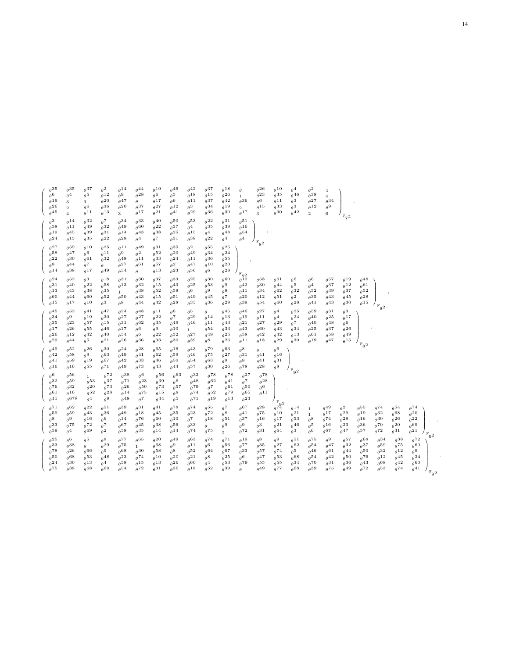$\sqrt{2}$  $\overline{\phantom{a}}$  $\theta^{35}$   $\theta$  $\begin{array}{cccc} 35 & \theta^{35} & \theta^{37} & \theta \\ 6 & \theta^{4} & \theta^{5} & \theta \\ 19 & 3 & 3 & \theta \\ 26 & 2 & \theta^{6} & \theta \\ 45 & 4 & \theta^{11} & \theta \end{array}$  $\begin{array}{ccc} 2 & \theta^{14} & \theta \\ 12 & \theta^{9} & \theta \end{array}$  $\begin{array}{cccc} 14 & \theta^{44} & \theta^{19} & \theta\\ 9 & \theta^{28} & \theta^{6} & \theta\\ 47 & \theta & \theta^{17} & \theta\\ 20 & \theta^{37} & \theta^{27} & \theta\\ \theta^{17} & \theta^{21} & \theta \end{array}$  $\begin{array}{ccc} 46 & & \theta \\ 5 & & \theta \\ 6 & & \theta \\ 12 & & \theta \\ 41 & & \theta \end{array}$  $\begin{array}{ccc} 42 & & \theta \\ 18 & & \theta \\ 11 & & \theta \\ 3 & & \theta \\ 29 & & \theta \end{array}$  $\begin{array}{ccc} 37 & & \theta \\ 15 & & \theta \\ 37 & & \theta \\ 34 & & \theta \\ 36 & & \theta \end{array}$  $\begin{array}{cccc} 18 & \theta & \theta^{26} & \theta \\ 26 & 1 & \theta^{23} & \theta \\ 42 & \theta^{36} & \theta^{6} & \theta \\ 19 & 2 & \theta^{15} & \theta \\ 30 & \theta^{17} & 3 & \theta \end{array}$  $\begin{array}{ccc} 10 & & \theta \\ 35 & & \theta \\ 11 & & \theta \\ 33 & & \theta \\ 30 & & \theta \end{array}$  $\begin{array}{ccc} 4 & & \theta \ 46 & & \theta \ 3 & & \theta \ 3 & & \theta \end{array}$  $\begin{array}{ccc} 2 & 4 \\ 38 & 4 \\ 27 & 6 \\ 12 & 6 \end{array}$  $\begin{matrix} \theta^6 & \theta\\ \theta^{19} & 3\\ \theta^{26} & 2\\ \theta^{45} & 4 \end{matrix}$  $\begin{array}{ccc} 12 & & \theta \\ 20 & & \theta \\ 36 & & \theta \end{array}$ 28 θ  $\begin{matrix} 23 & \theta \\ 6 & \theta \\ 15 & \theta \end{matrix}$ 42 θ  $\begin{array}{ccc} 26 & 2 & \theta \\ 45 & 4 & \theta \end{array}$  $\begin{array}{ccc} 36 & \theta^{20} & \theta \\ 13 & 3 & \theta \end{array}$  $\begin{array}{cc} 37 & \theta \\ 17 & \theta \end{array}$ 30 θ  $\begin{array}{l} \theta^2 \\ \theta^{38} \\ \theta^{27} \\ \theta^{12} \\ 2 \end{array}$ Λ  $\Bigg)_{\mathbb{F}_{7^2}}$ ,  $\sqrt{ }$  $\overline{\phantom{a}}$  $\begin{array}{ccc} \theta^3 & \theta\\ \theta^{58} & \theta\\ \theta^{19} & \theta\\ \theta^{24} & \theta \end{array}$ 14 θ<br>
11 θ<br>
45 θ<br>
13 θ  $\begin{array}{ccc} 32 & \theta\\ 49 & \theta\\ 39 & \theta\\ 35 & \theta \end{array}$  $\begin{array}{ccc} 7 & & \theta\\ 32 & & \theta\\ 31 & & \theta\\ 22 & & \theta \end{array}$  $\begin{array}{ccc} 34 & & \theta \\ 49 & & \theta \\ 14 & & \theta \\ 28 & & \theta \end{array}$  $\begin{array}{ccc} 33 & & \theta \\ 60 & & \theta \\ 43 & & \theta \\ 4 & & \theta \end{array}$  $\begin{array}{ccc} 40 & & \theta \\ 22 & & \theta \\ 38 & & \theta \\ 7 & & \theta \end{array}$  $\begin{array}{ccc} 50 & & \theta \\ 37 & & \theta \\ 25 & & \theta \\ 31 & & \theta \end{array}$  $\begin{array}{ccc} 53 & & \theta \\ 4 & & \theta \\ 15 & & \theta \\ 38 & & \theta \end{array}$  $\begin{array}{ccc} 22 & & \theta \\ 35 & & \theta \\ 4 & & \theta \\ 22 & & \theta \end{array}$  $\begin{array}{ccc} 31 & & \theta \\ 39 & & \theta \\ 48 & & \theta \\ 4 & & \theta \end{array}$ 51 16 54 4 ╲  $\begin{bmatrix} \theta^{10} \\ \theta^{54} \\ \theta^4 \end{bmatrix}_{\mathbb{F}_{8^2}}$ ,  $\sqrt{2}$  $\overline{\phantom{a}}$  $\begin{array}{ccc} \theta^{27} & \theta\\ \theta^{58} & \theta\\ \theta^{22} & \theta\\ \theta^{8} & \theta\\ \theta^{14} & \theta \end{array}$  $\begin{array}{ccc} 59 & & \theta\\ 47 & & \theta\\ 30 & & \theta\\ 44 & & \theta\\ 38 & & \theta \end{array}$  $\begin{matrix} 10 & & \theta\ 6 & & \theta\ 61 & & \theta\ \end{matrix}$  $\begin{array}{ccc} 25 & & \theta \\ 11 & & \theta \\ 32 & & \theta \end{array}$  $\begin{matrix} 10 & \theta^{25} & \theta^{11} & \theta\cr 6 & \theta^{11} & \theta^{9} & \theta\cr \theta^{32} & \theta^{48} & \theta\cr \tau & \theta & \theta^{27} & \theta\cr \end{matrix}$  $\begin{array}{cccc} 11 & \theta^{49} & \theta^{31} & \theta \\ \theta & \theta^{2} & \theta^{52} & \theta \\ 48 & \theta^{11} & \theta^{33} & \theta \\ 27 & \theta^{61} & \theta^{57} & \theta \\ 54 & \theta & \theta^{13} & \theta \end{array}$  $\begin{array}{ccc} 31 & \theta\\ 52 & \theta\\ 33 & \theta\\ 57 & \theta \end{array}$  $\begin{array}{ccc} 35 & & \theta \\ 20 & & \theta \\ 24 & & \theta \\ 2 & & \theta \\ 23 & & \theta \end{array}$  $\begin{array}{ccc} 2 & \theta\\ 49 & \theta\\ 11 & \theta\\ 47 & \theta\\ 56 & \theta \end{array}$  $\begin{array}{ccc} 55 & & \theta \\ 34 & & \theta \\ 36 & & \theta \\ 10 & & \theta \\ 6 & & \theta \end{array}$ 25 24 55 23 28 17 θ 49 θ  $\overline{\phantom{a}}$  $\begin{array}{ccc} \mathbb{F}_82 & \theta\\ \theta^{12} & \theta\\ \theta^{21} & \theta\\ \theta^{20} & \theta\\ \theta^{39} & \theta \end{array}$ ,  $\sqrt{ }$  $\overline{\phantom{a}}$  $\begin{array}{ccc} \theta^{24} & \theta\\ \theta^{31} & \theta\\ \theta^{13} & \theta\\ \theta^{60} & \theta\\ \theta^{15} & \theta\\ \end{array}$  $\begin{array}{ccc} 52 & \theta\\ 40 & \theta\\ 43 & \theta\\ 44 & \theta\\ 17 & \theta \end{array}$  $\begin{array}{ccc} 3 & & \theta \\ 22 & & \theta \\ 38 & & \theta \\ 60 & & \theta \\ 10 & & \theta \end{array}$  $\begin{matrix} 18 & \theta \\ 58 & \theta \end{matrix}$  $\begin{array}{ccc} 18 & \theta^{31} & \theta \\ 58 & \theta^{13} & \theta \\ 35 & 1 & \theta \\ 52 & \theta^{50} & \theta \\ 3 & \theta^{8} & \theta \end{array}$  $\begin{array}{ccc} 30 & \theta \\ 32 & \theta \\ 38 & \theta \\ 43 & \theta \\ 44 & \theta \end{array}$  $\begin{array}{ccc} 37 & & \theta\\ 15 & & \theta\\ 52 & & \theta\\ 15 & & \theta\\ 42 & & \theta \end{array}$  $\begin{array}{ccc} 33 & & \theta \\ 43 & & \theta \\ 58 & & \theta \\ 51 & & \theta \\ 28 & & \theta \end{array}$  $\begin{array}{ccc} 25 & & \theta \\ 25 & & \theta \\ 6 & & \theta \\ 49 & & \theta \\ 35 & & \theta \end{array}$  $\begin{array}{ccc} 30 & \theta \\ 53 & \theta \\ 9 & \theta \\ 45 & \theta \\ 36 & \theta \end{array}$  $\begin{array}{ccc} 60 & \theta\\ 9 & \theta\\ 8 & \theta\\ 7 & \theta\\ 29 & \theta \end{array}$  $\begin{array}{ccc} 58 & & \theta\\ 30 & & \theta\\ 34 & & \theta\\ 12 & & \theta\\ 54 & & \theta \end{array}$  $61$   $\theta$ <br> $62$   $\theta$ <br> $51$   $\theta$ <br> $60$   $\theta$  $\begin{array}{ccc} 6 & & \theta\\ 5 & & \theta\\ 32 & & \theta\\ 2 & & \theta\\ 28 & & \theta \end{array}$  $\begin{array}{ccc} 6 & & \theta\\ 4 & & \theta\\ 52 & & \theta\\ 35 & & \theta\\ 41 & & \theta \end{array}$  $\begin{array}{ccc} 57 & & \theta \\ 37 & & \theta \\ 39 & & \theta \\ 43 & & \theta \\ 43 & & \theta \end{array}$  $\begin{array}{ccc} 19 & & \theta \\ 12 & & \theta \\ 37 & & \theta \\ 45 & & \theta \\ 30 & & \theta \end{array}$ 48 61 52 28 15  $\begin{matrix}52 & \theta \\ 3 & \theta\end{matrix}$ ∖  $\overline{\phantom{a}}$ F 82 ,  $\sqrt{ }$  $\overline{\phantom{a}}$  $\begin{array}{ccc} \theta^{45} & \theta \\ \theta^{34} & \theta \\ \theta^{35} & \theta \\ \theta^{17} & \theta \\ \theta^{26} & \theta \\ \theta^{29} & \theta \end{array}$  $\begin{array}{ccc} 52 & \theta\\ 9 & \theta\\ 23 & \theta\\ 26 & \theta\\ 12 & \theta\\ 44 & \theta \end{array}$  $\begin{array}{ccc} 41 & \theta\\ 19 & \theta\\ 57 & \theta\\ 42 & \theta\\ 5 & \theta\\ \end{array}$  $\begin{array}{ccc} 47 & & \theta \\ 30 & & \theta \\ 15 & & \theta \\ 46 & & \theta \\ 21 & & \theta \end{array}$  $\begin{array}{ccc} 24 & & \theta \\ 27 & & \theta \\ 31 & & \theta \\ 17 & & \theta \\ 26 & & \theta \end{array}$  $\begin{array}{ccc} 48 & & \theta \\ 27 & & \theta \\ 62 & & \theta \\ 6 & & \theta \\ 6 & & \theta \\ 36 & & \theta \end{array}$  $\begin{array}{ccc} 11 & \theta\\ 22 & \theta\\ 35 & \theta\\ 9 & \theta\\ 22 & \theta\\ 33 & \theta \end{array}$  $\begin{array}{ccc} 6 & & \theta \\ 7 & & \theta \\ 49 & & \theta \end{array}$  $\begin{array}{cccc} 5 & \theta & \theta^{45} & \theta \\ 29 & \theta^{14} & \theta^{13} & \theta \\ 46 & \theta^{11} & \theta^{43} & \theta \\ \theta^{54} & \theta^{33} & \theta \\ 27 & \theta^{49} & \theta^{25} & \theta \\ 39 & \theta^{8} & \theta^{26} & \theta \end{array}$  $\begin{array}{ccc} 46 & & \theta \\ 19 & & \theta \\ 21 & & \theta \\ 43 & & \theta \\ 58 & & \theta \\ 11 & & \theta \end{array}$  $\begin{array}{ccc} 27 & & \theta \\ 11 & & \theta \\ 27 & & \theta \\ 60 & & \theta \\ 42 & & \theta \\ 18 & & \theta \end{array}$  $\begin{array}{ccc} 4 & & \theta\\ 4 & & \theta\\ 29 & & \theta\\ 43 & & \theta\\ 42 & & \theta\\ 29 & & \theta \end{array}$  $\begin{array}{ccc} 25 & & \theta \\ 24 & & \theta \\ 7 & & \theta \\ 34 & & \theta \\ 13 & & \theta \\ 30 & & \theta \end{array}$  $\begin{array}{ccc} 59 & & \theta\\ 40 & & \theta\\ 40 & & \theta\\ 25 & & \theta\\ 61 & & \theta\\ 19 & & \theta \end{array}$  $\begin{array}{ccc} 31 & \theta\\ 25 & \theta\\ 48 & \theta\\ 37 & \theta\\ 58 & \theta\\ 47 & \theta\\ \end{array}$ 3 17 6 26 49 15  $\begin{array}{ccc} 7 & \theta^{29} & \theta\\ 49 & \theta^{46} & \theta\\ 10 & 1 & \theta\\ 32 & \theta^{27} & \theta\\ 30 & \theta^{39} & \theta \end{array}$  $\begin{array}{ccc} 14 & & \theta \\ 11 & & \theta \\ 54 & & \theta \\ 49 & & \theta \\ 8 & & \theta \end{array}$  $\begin{matrix} 32 & \theta \\ 30 & \theta \end{matrix}$ ╲  $\overline{\phantom{a}}$ F 82 ,  $\sqrt{ }$  $\overline{\mathcal{L}}$  $\begin{array}{ccc} \theta^{49} & \theta\\ \theta^{42} & \theta\\ \theta^{41} & \theta\\ \theta^{16} & \theta \end{array}$  $\begin{array}{ccc} 52 & & \theta \\ 58 & & \theta \\ 59 & & \theta \\ 16 & & \theta \end{array}$  $\begin{array}{ccc} 26 & & \theta \\ 9 & & \theta \\ 19 & & \theta \\ 55 & & \theta \end{array}$  $\begin{matrix} 30 & \theta \ 63 & \theta \ 67 & \theta \ 71 & \theta \end{matrix}$  $\begin{array}{ccc} 24 & & \theta \\ 49 & & \theta \\ 42 & & \theta \\ 49 & & \theta \end{array}$  $\begin{array}{ccc} 28 & & \theta \\ 41 & & \theta \\ 33 & & \theta \\ 73 & & \theta \end{array}$  $65$  θ<br>  $62$  θ<br>  $46$  θ<br>  $43$  θ  $\begin{array}{ccc} 16 & & \theta \\ 59 & & \theta \\ 50 & & \theta \\ 44 & & \theta \end{array}$  $\begin{array}{ccc} 43 & & \theta \\ 46 & & \theta \\ 54 & & \theta \\ 57 & & \theta \end{array}$  $\begin{array}{ccc} 79 & & \theta\ 75 & & \theta\ 63 & & \theta\ 30 & & \theta\ \end{array}$  $\begin{array}{ccc} 63 & & \theta \\ 27 & & \theta \\ 9 & & \theta \\ 26 & & \theta \end{array}$  $\begin{array}{ccc} 8 & \theta & \theta^6 \\ 31 & \theta^{41} & \theta^1 \\ 8 & \theta^{41} & \theta^3 \\ 78 & \theta^{28} & \theta^8 \end{array}$  $\begin{array}{ccc} 31 & & \theta \\ 8 & & \theta \\ 78 & & \theta \end{array}$ 16 31 8 ∖  $\int_{\mathbb{F}_{9^2}}$ ,  $\sqrt{ }$  $\parallel$  $\begin{array}{ccc} \theta^6 & \theta\\ \theta^{32} & \theta\\ \theta^{76} & \theta\\ \theta^{61} & \theta\\ \theta^{11} & \theta \end{array}$  $\begin{array}{l} 1 \\ \theta\,53 \\ \theta\,20 \\ \theta\,52 \\ \theta\,4 \end{array}$  $\begin{array}{ccc} 72 & & \theta \\ 37 & & \theta \\ 73 & & \theta \\ 28 & & \theta \\ 9 & & \theta \end{array}$  $\begin{array}{ccc} 38 & & \theta \\ 71 & & \theta \\ 26 & & \theta \\ 14 & & \theta \\ 48 & & \theta \end{array}$  $\begin{array}{ccc} 6 & & \theta\ 23 & & \theta\ 50 & & \theta\ 75 & & \theta\ 7 & & \theta\ \end{array}$  $\begin{array}{ccc} 56 & & \theta \\ 39 & & \theta \\ 73 & & \theta \\ 15 & & \theta \\ 44 & & \theta \end{array}$  $\begin{matrix} 63 & \theta\\ 6 & \theta\\ 57 & \theta\\ 8 & \theta\\ 5 & \theta \end{matrix}$  $\begin{array}{ccc} 32 & \theta \\ 48 & \theta \\ 79 & \theta \\ 74 & \theta \\ 71 & \theta \end{array}$  $\begin{array}{ccc} 78 & & \theta\\ 62 & & \theta\\ 7 & & \theta\\ 52 & & \theta\\ 19 & & \theta \end{array}$  $\begin{array}{ccc} 78 & & \theta^{27} \\ 41 & & \theta^{7} \\ 61 & & \theta^{50} \\ 79 & & \theta^{65} \\ 13 & & \theta^{23} \end{array}$  $\begin{array}{ccc} 27 & & \theta^{78} \\ 7 & & \theta^{28} \\ 50 & & \theta^{6} \\ 65 & & \theta^{11} \end{array}$  $\begin{array}{ccc} 59 & & \theta \\ 32 & & \theta \\ 16 & & \theta \\ 67\theta & & \theta \end{array}$  $\begin{array}{ccc} 53 & & \theta \\ 20 & & \theta \\ 52 & & \theta \\ 4 & & \theta \end{array}$ ╲  $\Bigg\}$  $\begin{array}{r} \n\sqrt{\frac{6}{F_9}}2 \\
28 \theta^{74} \\
\theta^{10} \theta^{9} \\
16 \theta^{17} \\
3 \theta^{21} \\
31 \theta^{64} \\
\theta^{9} \\
\end{array}$ ,  $\sqrt{ }$  $\parallel$  $\begin{array}{ccc} \theta^{71} & \theta\\ \theta^{59} & \theta\\ \theta^{8} & \theta\\ \theta^{33} & \theta\\ \theta^{59} & \theta \end{array}$  $\begin{array}{ccc} 62 & \theta\\ 59 & \theta\\ 9 & \theta\\ 75 & \theta\\ 4 & \theta\\ \end{array}$  $\begin{array}{ccc} 22 & \theta \\ 43 & \theta \\ 16 & \theta \\ 72 & \theta \\ 69 & \theta \end{array}$  $\begin{array}{ccc} 51 & \theta\\ 36 & \theta\\ 6 & \theta\\ 7 & \theta\\ 2 & \theta \end{array}$  $\begin{array}{ccc} 39 & & \theta \\ 49 & & \theta \\ 14 & & \theta \\ 67 & & \theta \\ 58 & & \theta \end{array}$  $\begin{array}{ccc} 31 & \theta \\ 18 & \theta \\ 76 & \theta \\ 45 & \theta \\ 35 & \theta \end{array}$  $\begin{array}{ccc} 41 & \theta\\ 45 & \theta\\ 60 & \theta\\ 38 & \theta\\ 14 & \theta\\ \end{array}$  $\begin{array}{ccc} 78 & & \theta \\ 35 & & \theta \\ 10 & & \theta \\ 56 & & \theta \\ 14 & & \theta \end{array}$  $\begin{array}{ccc} 74 & & \theta \\ 23 & & \theta \\ 7 & & \theta \end{array}$  $\begin{matrix} 55 & \theta \\ 72 & \theta \\ 18 & \theta \end{matrix}$  $\begin{array}{cccccc} 74 & & \theta^{55} & & \theta^{7} & & \theta \\ 23 & & \theta^{72} & & \theta^{8} & & \theta \\ 7 & & \theta^{18} & & \theta^{51} & & \theta \\ 33 & & \theta & & \theta^{9} & & \theta \\ 74 & & \theta^{75} & & 2 & & \theta \end{array}$  $\begin{array}{ccc} 67 & & \theta \\ 41 & & \theta \\ 37 & & \theta \\ 9 & & \theta \\ 72 & & \theta \end{array}$  $14 \t 1 \t \theta$  $\begin{array}{ccc} 49 & & \theta \\ 17 & & \theta \\ 74 & & \theta \\ 16 & & \theta \\ 67 & & \theta \end{array}$  $\begin{array}{ccc} 2 & & \theta \\ 29 & & \theta \\ 28 & & \theta \\ 23 & & \theta \\ 47 & & \theta \end{array}$  $\begin{array}{ccc} 55 & \theta\\ 19 & \theta\\ 16 & \theta\\ 36 & \theta\\ 57 & \theta \end{array}$  $\begin{array}{ccc} 74 & & \theta \\ 32 & & \theta \\ 30 & & \theta \\ 70 & & \theta \\ 72 & & \theta \end{array}$  $\begin{array}{ccc} 54 & & \theta\\ 68 & & \theta\\ 26 & & \theta\\ 20 & & \theta\\ 31 & & \theta \end{array}$ 74 20 22 69 21  $\begin{array}{ccc} 21 & 1 & \theta \\ 53 & \theta^{8} & \theta \\ 46 & \theta^{5} & \theta \\ 3 & \theta^{6} & \theta \end{array}$  $\begin{array}{ccc} 53 & & \theta \\ 46 & & \theta \\ 3 & & \theta \end{array}$ 74 θ ∖  $\overline{\phantom{a}}$ F 92 ,  $\sqrt{ }$  $\overline{\phantom{a}}$  $\begin{array}{ccc} \theta^{25} & \theta \\ \theta^{33} & \theta \\ \theta^{78} & \theta \\ \theta^{50} & \theta \\ \theta^{24} & \theta \\ \theta^{75} & \theta \end{array}$ 6 θ 5 θ  $\begin{array}{cccc} 6 & & \theta^{5} & & \theta^{8} & & \theta \\ 38 & & \theta & & \theta^{29} & \theta \\ 26 & & \theta^{66} & & \theta^{9} & & \theta \\ 68 & & \theta^{53} & & \theta^{48} & & \theta \\ 30 & & \theta^{13} & & \theta^{4} & & \theta \\ 38 & & \theta^{68} & & \theta^{60} & & \theta \end{array}$ 77 θ  $\begin{array}{ccc} 77 & \theta^{65} & \theta\\ 75 & 1 & \theta\\ 68 & \theta^{30} & \theta\\ 23 & \theta^{74} & \theta\\ 58 & \theta^{15} & \theta\\ 54 & \theta^{72} & \theta \end{array}$  $\begin{array}{ccc} 20 & & \theta \\ 68 & & \theta \\ 58 & & \theta \\ 10 & & \theta \\ 13 & & \theta \\ 31 & & \theta \end{array}$  $\begin{array}{ccc} 49 & & \theta \\ 9 & & \theta \\ 8 & & \theta \\ 20 & & \theta \\ 26 & & \theta \\ 36 & & \theta \end{array}$  $\begin{array}{ccc} 63 & & \theta \\ 11 & & \theta \\ 52 & & \theta \\ 21 & & \theta \\ 60 & & \theta \\ 18 & & \theta \end{array}$  $\begin{array}{ccc} 74 & & \theta\cr 6 & & \theta\cr 64 & & \theta\cr 8 & & \theta\cr 4 & & \theta\cr 52 & & \theta\cr \end{array}$  $\left.\begin{matrix} 71 & \theta^{19} & \theta^{8} & \theta\\ 67 & \theta^{78} & \theta^{35} & \theta\\ 67 & \theta^{33} & \theta^{57} & \theta\\ 25 & \theta^{6} & \theta^{47} & \theta\\ 53 & \theta^{79} & \theta^{55} & \theta\\ 39 & \theta & \theta^{49} & \theta \end{matrix}\right.$  $\begin{array}{ccc} 19 & & \theta \\ 77 & & \theta \\ 33 & & \theta \\ 6 & & \theta \\ 79 & & \theta \end{array}$  $8$   $\theta^9$   $\theta$ <br>35  $\theta^{27}$   $\theta$ <br>57  $\theta^{74}$   $\theta$ <br>47  $\theta^{53}$   $\theta$ <br>55  $\theta^{55}$   $\theta$ <br>49  $\theta^{77}$   $\theta$  $\begin{array}{ccc} 51 & & \theta \\ 62 & & \theta \\ 5 & & \theta \\ 68 & & \theta \\ 68 & & \theta \end{array}$  $75$  θ<br>54 θ<br>54 θ<br>70 θ<br>39 θ  $\begin{array}{ccc} 9 & & \theta \\ 47 & & \theta \\ 61 & & \theta \\ 42 & & \theta \\ 31 & & \theta \\ 75 & & \theta \end{array}$  $\begin{array}{r} 57 & \theta^{68} & \theta \\ 32 & \theta^{37} & \theta \\ 44 & \theta^{50} & \theta \\ 50 & \theta^{76} & \theta \\ 36 & \theta^{43} & \theta \\ 49 & \theta^{72} & \theta \end{array}$  $\begin{array}{r} 34 & \theta^{38} & \theta \\ 59 & \theta^{75} & \theta \\ 32 & \theta^{12} & \theta \\ 12 & \theta^{45} & \theta \\ 68 & \theta^{42} & \theta \\ 53 & \theta^{74} & \theta \end{array}$ 72 60 9 34 60 41  $\begin{array}{ccc} 26 & & \theta \\ 68 & & \theta \\ 30 & & \theta \\ 38 & & \theta \end{array}$  $\begin{matrix} 66 & & \theta \\ 53 & & \theta \\ 13 & & \theta \end{matrix}$  $\begin{matrix} 68 & \theta\\ 23 & \theta\\ 58 & \theta \end{matrix}$ ∖  $\overline{\phantom{a}}$ F 92 ,